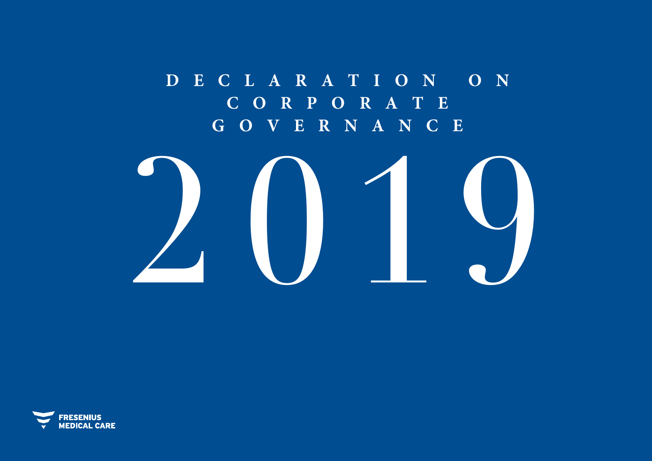# **D E C L ARATION ON C O RPO RATE GOVERNANCE**



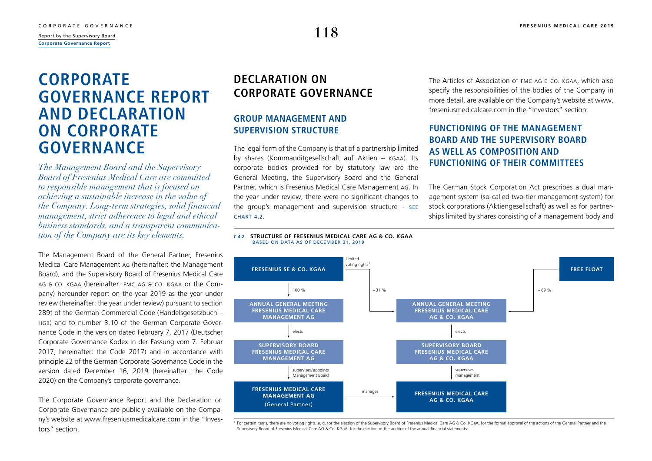# <span id="page-1-0"></span>**CORPORATE GOVERNANCE REPORT AND DECLARATION ON CORPORATE GOVERNANCE**

*The Management Board and the Supervisory Board of Fresenius Medical Care are committed to responsible management that is focused on achieving a sustainable increase in the value of the Company. Long-term strategies, solid financial management, strict adherence to legal and ethical business standards, and a transparent communication of the Company are its key elements.* 

The Management Board of the General Partner, Fresenius Medical Care Management AG (hereinafter: the Management Board), and the Supervisory Board of Fresenius Medical Care AG & Co. KGaA (hereinafter: FMC AG & Co. KGaA or the Company) hereunder report on the year 2019 as the year under review (hereinafter: the year under review) pursuant to section 289f of the German Commercial Code (Handelsgesetzbuch – HGB) and to number 3.10 of the German Corporate Governance Code in the version dated February 7, 2017 (Deutscher Corporate Governance Kodex in der Fassung vom 7. Februar 2017, hereinafter: the Code 2017) and in accordance with principle 22 of the German Corporate Governance Code in the version dated December 16, 2019 (hereinafter: the Code 2020) on the Company's corporate governance.

The Corporate Governance Report and the Declaration on Corporate Governance are publicly available on the Company's website at [www.freseniusmedicalcare.com](http://www.freseniusmedicalcare.com) in the "Investors" section.

## **DECLARATION ON CORPORATE GOVERNANCE**

## **GROUP MANAGEMENT AND SUPERVISION STRUCTURE**

The legal form of the Company is that of a partnership limited by shares (Kommanditgesellschaft auf Aktien – KGaA). Its corporate bodies provided for by statutory law are the General Meeting, the Supervisory Board and the General Partner, which is Fresenius Medical Care Management AG. In the year under review, there were no significant changes to the group's management and supervision structure – see **CHART 4.2.** 

The Articles of Association of FMC AG & Co. KGaA, which also specify the responsibilities of the bodies of the Company in more detail, are available on the Company's website at [www.](http://www.freseniusmedicalcare.com) [freseniusmedicalcare.com](http://www.freseniusmedicalcare.com) in the "Investors" section.

## **FUNCTIONING OF THE MANAGEMENT BOARD AND THE SUPERVISORY BOARD AS WELL AS COMPOSITION AND FUNCTIONING OF THEIR COMMITTEES**

The German Stock Corporation Act prescribes a dual management system (so-called two-tier management system) for stock corporations (Aktiengesellschaft) as well as for partnerships limited by shares consisting of a management body and





For certain items, there are no voting rights, e. g. for the election of the Supervisory Board of Fresenius Medical Care AG & Co. KGaA, for the formal approval of the actions of the General Partner and the Supervisory Board of Fresenius Medical Care AG & Co. KGaA, for the election of the auditor of the annual financial statements.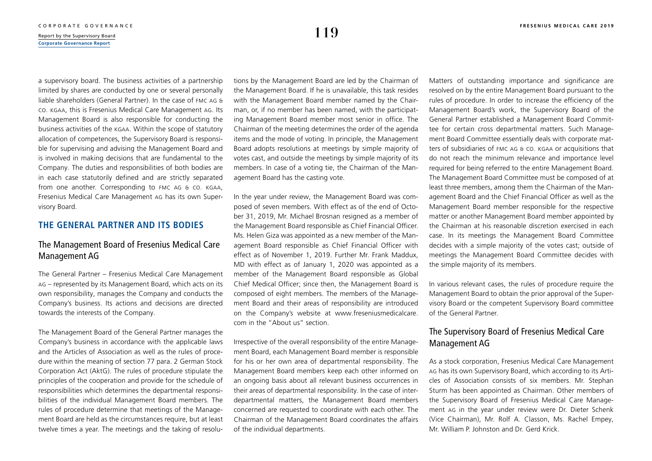a supervisory board. The business activities of a partnership limited by shares are conducted by one or several personally liable shareholders (General Partner). In the case of FMC AG & Co. KGaA, this is Fresenius Medical Care Management AG. Its Management Board is also responsible for conducting the business activities of the KGaA. Within the scope of statutory allocation of competences, the Supervisory Board is responsible for supervising and advising the Management Board and is involved in making decisions that are fundamental to the Company. The duties and responsibilities of both bodies are in each case statutorily defined and are strictly separated from one another. Corresponding to FMC AG & Co. KGaA, Fresenius Medical Care Management AG has its own Supervisory Board.

## **THE GENERAL PARTNER AND ITS BODIES**

## The Management Board of Fresenius Medical Care Management AG

The General Partner – Fresenius Medical Care Management AG – represented by its Management Board, which acts on its own responsibility, manages the Company and conducts the Company's business. Its actions and decisions are directed towards the interests of the Company.

The Management Board of the General Partner manages the Company's business in accordance with the applicable laws and the Articles of Association as well as the rules of procedure within the meaning of section 77 para. 2 German Stock Corporation Act (AktG). The rules of procedure stipulate the principles of the cooperation and provide for the schedule of responsibilities which determines the departmental responsibilities of the individual Management Board members. The rules of procedure determine that meetings of the Management Board are held as the circumstances require, but at least twelve times a year. The meetings and the taking of resolutions by the Management Board are led by the Chairman of the Management Board. If he is unavailable, this task resides with the Management Board member named by the Chairman, or, if no member has been named, with the participating Management Board member most senior in office. The Chairman of the meeting determines the order of the agenda items and the mode of voting. In principle, the Management Board adopts resolutions at meetings by simple majority of votes cast, and outside the meetings by simple majority of its members. In case of a voting tie, the Chairman of the Management Board has the casting vote.

In the year under review, the Management Board was composed of seven members. With effect as of the end of October 31, 2019, Mr. Michael Brosnan resigned as a member of the Management Board responsible as Chief Financial Officer. Ms. Helen Giza was appointed as a new member of the Management Board responsible as Chief Financial Officer with effect as of November 1, 2019. Further Mr. Frank Maddux, MD with effect as of January 1, 2020 was appointed as a member of the Management Board responsible as Global Chief Medical Officer; since then, the Management Board is composed of eight members. The members of the Management Board and their areas of responsibility are introduced on the Company's website at [www.freseniusmedicalcare.](http://www.freseniusmedicalcare.com) [com](http://www.freseniusmedicalcare.com) in the "About us" section.

Irrespective of the overall responsibility of the entire Management Board, each Management Board member is responsible for his or her own area of departmental responsibility. The Management Board members keep each other informed on an ongoing basis about all relevant business occurrences in their areas of departmental responsibility. In the case of interdepartmental matters, the Management Board members concerned are requested to coordinate with each other. The Chairman of the Management Board coordinates the affairs of the individual departments.

Matters of outstanding importance and significance are resolved on by the entire Management Board pursuant to the rules of procedure. In order to increase the efficiency of the Management Board's work, the Supervisory Board of the General Partner established a Management Board Committee for certain cross departmental matters. Such Management Board Committee essentially deals with corporate matters of subsidiaries of FMC AG & Co. KGaA or acquisitions that do not reach the minimum relevance and importance level required for being referred to the entire Management Board. The Management Board Committee must be composed of at least three members, among them the Chairman of the Management Board and the Chief Financial Officer as well as the Management Board member responsible for the respective matter or another Management Board member appointed by the Chairman at his reasonable discretion exercised in each case. In its meetings the Management Board Committee decides with a simple majority of the votes cast; outside of meetings the Management Board Committee decides with the simple majority of its members.

In various relevant cases, the rules of procedure require the Management Board to obtain the prior approval of the Supervisory Board or the competent Supervisory Board committee of the General Partner.

## The Supervisory Board of Fresenius Medical Care Management AG

As a stock corporation, Fresenius Medical Care Management AG has its own Supervisory Board, which according to its Articles of Association consists of six members. Mr. Stephan Sturm has been appointed as Chairman. Other members of the Supervisory Board of Fresenius Medical Care Management AG in the year under review were Dr. Dieter Schenk (Vice Chairman), Mr. Rolf A. Classon, Ms. Rachel Empey, Mr. William P. Johnston and Dr. Gerd Krick.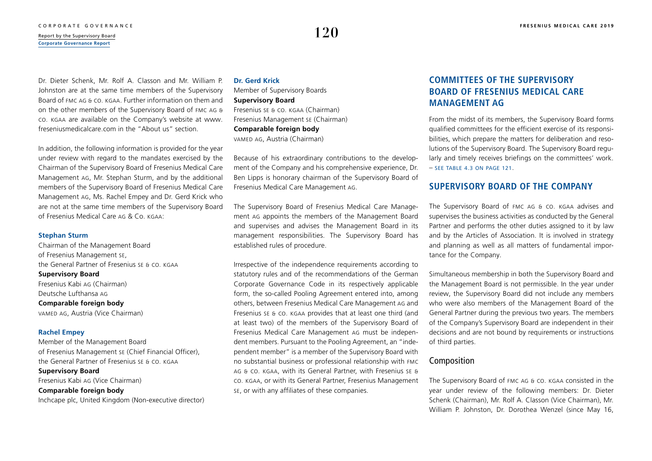### [CORPORATE GOVERNANCE](#page--1-0) **[FRESENIUS MEDICAL CARE 2019](#page--1-0)**<br>Papart by the Supervisory Board  $\frac{R_{\text{eport by the Supervisory Board}}{R_{\text{eport by the Supervisory Board}}}$ **[Corporate Governance Report](#page-1-0)**

Dr. Dieter Schenk, Mr. Rolf A. Classon and Mr. William P. Johnston are at the same time members of the Supervisory Board of FMC AG & Co. KGaA. Further information on them and on the other members of the Supervisory Board of FMC AG & Co. KGaA are available on the Company's website at [www.](http://www.freseniusmedicalcare.com) [freseniusmedicalcare.com](http://www.freseniusmedicalcare.com) in the "About us" section.

In addition, the following information is provided for the year under review with regard to the mandates exercised by the Chairman of the Supervisory Board of Fresenius Medical Care Management AG, Mr. Stephan Sturm, and by the additional members of the Supervisory Board of Fresenius Medical Care Management AG, Ms. Rachel Empey and Dr. Gerd Krick who are not at the same time members of the Supervisory Board of Fresenius Medical Care AG & Co. KGaA:

### **Stephan Sturm**

Chairman of the Management Board of Fresenius Management SE, the General Partner of Fresenius SE & Co. KGAA **Supervisory Board**  Fresenius Kabi AG (Chairman) Deutsche Lufthansa AG **Comparable foreign body** VAMED AG, Austria (Vice Chairman)

### **Rachel Empey**

Member of the Management Board of Fresenius Management SE (Chief Financial Officer), the General Partner of Fresenius SE & Co. KGAA **Supervisory Board**  Fresenius Kabi AG (Vice Chairman) **Comparable foreign body** Inchcape plc, United Kingdom (Non-executive director)

### **Dr. Gerd Krick**

Member of Supervisory Boards **Supervisory Board**  Fresenius SE & Co. KGAA (Chairman) Fresenius Management SE (Chairman) **Comparable foreign body** VAMED AG, Austria (Chairman)

Because of his extraordinary contributions to the development of the Company and his comprehensive experience, Dr. Ben Lipps is honorary chairman of the Supervisory Board of Fresenius Medical Care Management AG.

The Supervisory Board of Fresenius Medical Care Management AG appoints the members of the Management Board and supervises and advises the Management Board in its management responsibilities. The Supervisory Board has established rules of procedure.

Irrespective of the independence requirements according to statutory rules and of the recommendations of the German Corporate Governance Code in its respectively applicable form, the so-called Pooling Agreement entered into, among others, between Fresenius Medical Care Management AG and Fresenius SE & Co. KGaA provides that at least one third (and at least two) of the members of the Supervisory Board of Fresenius Medical Care Management AG must be independent members. Pursuant to the Pooling Agreement, an "independent member" is a member of the Supervisory Board with no substantial business or professional relationship with FMC AG & Co. KGaA, with its General Partner, with Fresenius SE & Co. KGaA, or with its General Partner, Fresenius Management SE, or with any affiliates of these companies.

## **COMMITTEES OF THE SUPERVISORY BOARD OF FRESENIUS MEDICAL CARE MANAGEMENT AG**

From the midst of its members, the Supervisory Board forms qualified committees for the efficient exercise of its responsibilities, which prepare the matters for deliberation and resolutions of the Supervisory Board. The Supervisory Board regularly and timely receives briefings on the committees' work. – [see table 4.3 on page 121](#page-4-0).

## **SUPERVISORY BOARD OF THE COMPANY**

The Supervisory Board of FMC AG & Co. KGaA advises and supervises the business activities as conducted by the General Partner and performs the other duties assigned to it by law and by the Articles of Association. It is involved in strategy and planning as well as all matters of fundamental importance for the Company.

Simultaneous membership in both the Supervisory Board and the Management Board is not permissible. In the year under review, the Supervisory Board did not include any members who were also members of the Management Board of the General Partner during the previous two years. The members of the Company's Supervisory Board are independent in their decisions and are not bound by requirements or instructions of third parties.

## Composition

The Supervisory Board of FMC AG & Co. KGaA consisted in the year under review of the following members: Dr. Dieter Schenk (Chairman), Mr. Rolf A. Classon (Vice Chairman), Mr. William P. Johnston, Dr. Dorothea Wenzel (since May 16,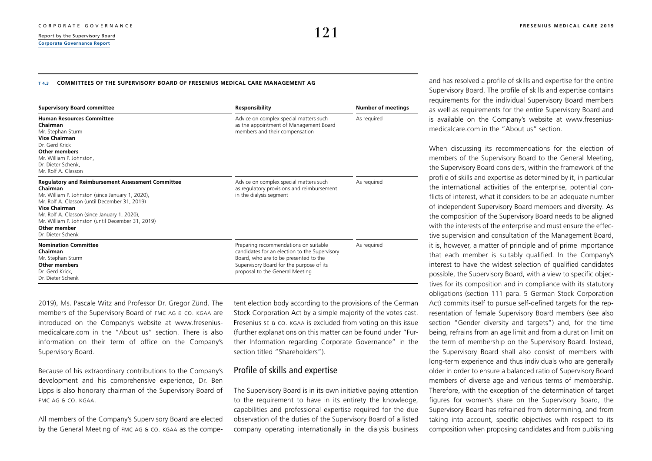### <span id="page-4-0"></span>**T 4.3 COMMITTEES OF THE SUPERVISORY BOARD OF FRESENIUS MEDICAL CARE MANAGEMENT AG**

| <b>Supervisory Board committee</b>                                                                                                                                                                                                                                                                                                          | <b>Responsibility</b>                                                                                                                                                                                          | <b>Number of meetings</b> |  |  |
|---------------------------------------------------------------------------------------------------------------------------------------------------------------------------------------------------------------------------------------------------------------------------------------------------------------------------------------------|----------------------------------------------------------------------------------------------------------------------------------------------------------------------------------------------------------------|---------------------------|--|--|
| <b>Human Resources Committee</b><br>Chairman<br>Mr. Stephan Sturm<br><b>Vice Chairman</b><br>Dr. Gerd Krick<br><b>Other members</b><br>Mr. William P. Johnston,<br>Dr. Dieter Schenk,<br>Mr. Rolf A. Classon                                                                                                                                | Advice on complex special matters such<br>as the appointment of Management Board<br>members and their compensation                                                                                             | As required               |  |  |
| <b>Regulatory and Reimbursement Assessment Committee</b><br>Chairman<br>Mr. William P. Johnston (since January 1, 2020),<br>Mr. Rolf A. Classon (until December 31, 2019)<br><b>Vice Chairman</b><br>Mr. Rolf A. Classon (since January 1, 2020),<br>Mr. William P. Johnston (until December 31, 2019)<br>Other member<br>Dr. Dieter Schenk | Advice on complex special matters such<br>as regulatory provisions and reimbursement<br>in the dialysis segment                                                                                                | As required               |  |  |
| <b>Nomination Committee</b><br>Chairman<br>Mr. Stephan Sturm<br><b>Other members</b><br>Dr. Gerd Krick.<br>Dr. Dieter Schenk                                                                                                                                                                                                                | Preparing recommendations on suitable<br>candidates for an election to the Supervisory<br>Board, who are to be presented to the<br>Supervisory Board for the purpose of its<br>proposal to the General Meeting | As required               |  |  |

2019), Ms. Pascale Witz and Professor Dr. Gregor Zünd. The members of the Supervisory Board of FMC AG & Co. KGaA are introduced on the Company's website at [www.fresenius](http://www.freseniusmedicalcare.com)[medicalcare.com](http://www.freseniusmedicalcare.com) in the "About us" section. There is also information on their term of office on the Company's Supervisory Board.

Because of his extraordinary contributions to the Company's development and his comprehensive experience, Dr. Ben Lipps is also honorary chairman of the Supervisory Board of FMC AG & Co. KGaA.

All members of the Company's Supervisory Board are elected by the General Meeting of FMC AG & Co. KGaA as the competent election body according to the provisions of the German Stock Corporation Act by a simple majority of the votes cast. Fresenius SE & Co. KGaA is excluded from voting on this issue (further explanations on this matter can be found under "Further Information regarding Corporate Governance" in the section titled "Shareholders").

## Profile of skills and expertise

The Supervisory Board is in its own initiative paying attention to the requirement to have in its entirety the knowledge, capabilities and professional expertise required for the due observation of the duties of the Supervisory Board of a listed company operating internationally in the dialysis business and has resolved a profile of skills and expertise for the entire Supervisory Board. The profile of skills and expertise contains requirements for the individual Supervisory Board members as well as requirements for the entire Supervisory Board and is available on the Company's website at [www.fresenius](http://www.freseniusmedicalcare.com)[medicalcare.com](http://www.freseniusmedicalcare.com) in the "About us" section.

When discussing its recommendations for the election of members of the Supervisory Board to the General Meeting, the Supervisory Board considers, within the framework of the profile of skills and expertise as determined by it, in particular the international activities of the enterprise, potential conflicts of interest, what it considers to be an adequate number of independent Supervisory Board members and diversity. As the composition of the Supervisory Board needs to be aligned with the interests of the enterprise and must ensure the effective supervision and consultation of the Management Board, it is, however, a matter of principle and of prime importance that each member is suitably qualified. In the Company's interest to have the widest selection of qualified candidates possible, the Supervisory Board, with a view to specific objectives for its composition and in compliance with its statutory obligations (section 111 para. 5 German Stock Corporation Act) commits itself to pursue self-defined targets for the representation of female Supervisory Board members (see also section "Gender diversity and targets") and, for the time being, refrains from an age limit and from a duration limit on the term of membership on the Supervisory Board. Instead, the Supervisory Board shall also consist of members with long-term experience and thus individuals who are generally older in order to ensure a balanced ratio of Supervisory Board members of diverse age and various terms of membership. Therefore, with the exception of the determination of target figures for women's share on the Supervisory Board, the Supervisory Board has refrained from determining, and from taking into account, specific objectives with respect to its composition when proposing candidates and from publishing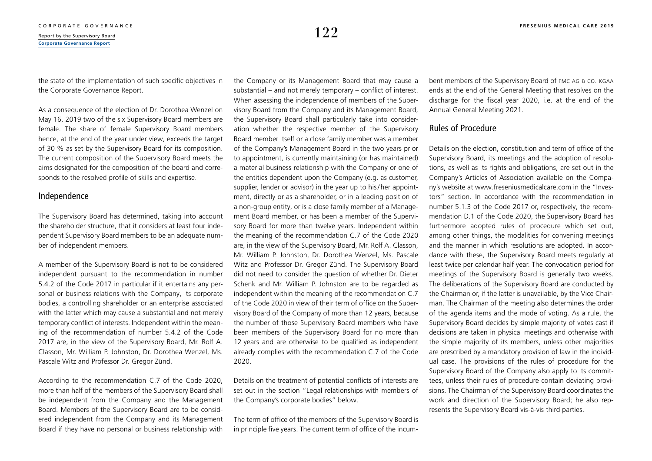the state of the implementation of such specific objectives in the Corporate Governance Report.

As a consequence of the election of Dr. Dorothea Wenzel on May 16, 2019 two of the six Supervisory Board members are female. The share of female Supervisory Board members hence, at the end of the year under view, exceeds the target of 30 % as set by the Supervisory Board for its composition. The current composition of the Supervisory Board meets the aims designated for the composition of the board and corresponds to the resolved profile of skills and expertise.

## Independence

The Supervisory Board has determined, taking into account the shareholder structure, that it considers at least four independent Supervisory Board members to be an adequate number of independent members.

A member of the Supervisory Board is not to be considered independent pursuant to the recommendation in number 5.4.2 of the Code 2017 in particular if it entertains any personal or business relations with the Company, its corporate bodies, a controlling shareholder or an enterprise associated with the latter which may cause a substantial and not merely temporary conflict of interests. Independent within the meaning of the recommendation of number 5.4.2 of the Code 2017 are, in the view of the Supervisory Board, Mr. Rolf A. Classon, Mr. William P. Johnston, Dr. Dorothea Wenzel, Ms. Pascale Witz and Professor Dr. Gregor Zünd.

According to the recommendation C.7 of the Code 2020, more than half of the members of the Supervisory Board shall be independent from the Company and the Management Board. Members of the Supervisory Board are to be considered independent from the Company and its Management Board if they have no personal or business relationship with the Company or its Management Board that may cause a substantial – and not merely temporary – conflict of interest. When assessing the independence of members of the Supervisory Board from the Company and its Management Board, the Supervisory Board shall particularly take into consideration whether the respective member of the Supervisory Board member itself or a close family member was a member of the Company's Management Board in the two years prior to appointment, is currently maintaining (or has maintained) a material business relationship with the Company or one of the entities dependent upon the Company (e.g. as customer, supplier, lender or advisor) in the year up to his/ her appointment, directly or as a shareholder, or in a leading position of a non-group entity, or is a close family member of a Management Board member, or has been a member of the Supervisory Board for more than twelve years. Independent within the meaning of the recommendation C.7 of the Code 2020 are, in the view of the Supervisory Board, Mr. Rolf A. Classon, Mr. William P. Johnston, Dr. Dorothea Wenzel, Ms. Pascale Witz and Professor Dr. Gregor Zünd. The Supervisory Board did not need to consider the question of whether Dr. Dieter Schenk and Mr. William P. Johnston are to be regarded as independent within the meaning of the recommendation C.7 of the Code 2020 in view of their term of office on the Supervisory Board of the Company of more than 12 years, because the number of those Supervisory Board members who have been members of the Supervisory Board for no more than 12 years and are otherwise to be qualified as independent already complies with the recommendation C.7 of the Code 2020.

Details on the treatment of potential conflicts of interests are set out in the section "Legal relationships with members of the Company's corporate bodies" below.

The term of office of the members of the Supervisory Board is in principle five years. The current term of office of the incumbent members of the Supervisory Board of FMC AG & Co. KGaA ends at the end of the General Meeting that resolves on the discharge for the fiscal year 2020, i.e. at the end of the Annual General Meeting 2021.

## Rules of Procedure

Details on the election, constitution and term of office of the Supervisory Board, its meetings and the adoption of resolutions, as well as its rights and obligations, are set out in the Company's Articles of Association available on the Company's website at [www.freseniusmedicalcare.com](http://www.freseniusmedicalcare.com) in the "Investors" section. In accordance with the recommendation in number 5.1.3 of the Code 2017 or, respectively, the recommendation D.1 of the Code 2020, the Supervisory Board has furthermore adopted rules of procedure which set out, among other things, the modalities for convening meetings and the manner in which resolutions are adopted. In accordance with these, the Supervisory Board meets regularly at least twice per calendar half year. The convocation period for meetings of the Supervisory Board is generally two weeks. The deliberations of the Supervisory Board are conducted by the Chairman or, if the latter is unavailable, by the Vice Chairman. The Chairman of the meeting also determines the order of the agenda items and the mode of voting. As a rule, the Supervisory Board decides by simple majority of votes cast if decisions are taken in physical meetings and otherwise with the simple majority of its members, unless other majorities are prescribed by a mandatory provision of law in the individual case. The provisions of the rules of procedure for the Supervisory Board of the Company also apply to its committees, unless their rules of procedure contain deviating provisions. The Chairman of the Supervisory Board coordinates the work and direction of the Supervisory Board; he also represents the Supervisory Board vis-à-vis third parties.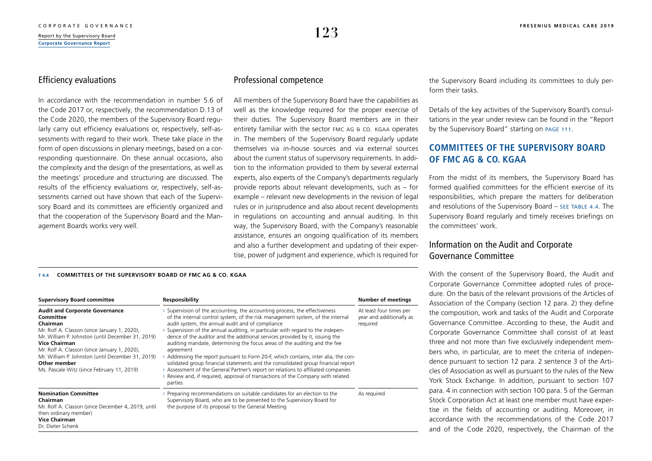## Efficiency evaluations

In accordance with the recommendation in number 5.6 of the Code 2017 or, respectively, the recommendation D.13 of the Code 2020, the members of the Supervisory Board regularly carry out efficiency evaluations or, respectively, self-assessments with regard to their work. These take place in the form of open discussions in plenary meetings, based on a corresponding questionnaire. On these annual occasions, also the complexity and the design of the presentations, as well as the meetings' procedure and structuring are discussed. The results of the efficiency evaluations or, respectively, self-assessments carried out have shown that each of the Supervisory Board and its committees are efficiently organized and that the cooperation of the Supervisory Board and the Management Boards works very well.

## Professional competence

All members of the Supervisory Board have the capabilities as well as the knowledge required for the proper exercise of their duties. The Supervisory Board members are in their entirety familiar with the sector FMC AG & Co. KGaA operates in. The members of the Supervisory Board regularly update themselves via in-house sources and via external sources about the current status of supervisory requirements. In addition to the information provided to them by several external experts, also experts of the Company's departments regularly provide reports about relevant developments, such as – for example – relevant new developments in the revision of legal rules or in jurisprudence and also about recent developments in regulations on accounting and annual auditing. In this way, the Supervisory Board, with the Company's reasonable assistance, ensures an ongoing qualification of its members and also a further development and updating of their expertise, power of judgment and experience, which is required for the Supervisory Board including its committees to duly perform their tasks.

Details of the key activities of the Supervisory Board's consultations in the year under review can be found in the "Report by the Supervisory Board" starting on [page 111](#page--1-0).

## **COMMITTEES OF THE SUPERVISORY BOARD OF FMC AG & CO. KGAA**

From the midst of its members, the Supervisory Board has formed qualified committees for the efficient exercise of its responsibilities, which prepare the matters for deliberation and resolutions of the Supervisory Board  $-$  SEE TABLE 4.4. The Supervisory Board regularly and timely receives briefings on the committees' work.

## Information on the Audit and Corporate Governance Committee

With the consent of the Supervisory Board, the Audit and Corporate Governance Committee adopted rules of procedure. On the basis of the relevant provisions of the Articles of Association of the Company (section 12 para. 2) they define the composition, work and tasks of the Audit and Corporate Governance Committee. According to these, the Audit and Corporate Governance Committee shall consist of at least three and not more than five exclusively independent members who, in particular, are to meet the criteria of independence pursuant to section 12 para. 2 sentence 3 of the Articles of Association as well as pursuant to the rules of the New York Stock Exchange. In addition, pursuant to section 107 para. 4 in connection with section 100 para. 5 of the German Stock Corporation Act at least one member must have expertise in the fields of accounting or auditing. Moreover, in accordance with the recommendations of the Code 2017 and of the Code 2020, respectively, the Chairman of the

### **T 4.4 COMMITTEES OF THE SUPERVISORY BOARD OF FMC AG & CO. KGAA**

| <b>Supervisory Board committee</b>                                                                                                                                                                                                                                                                                                                             | Responsibility                                                                                                                                                                                                                                                                                                                                                                                                                                                                                                                                                                                                                                                                                                                                                                                                                      | <b>Number of meetings</b>                                       |  |
|----------------------------------------------------------------------------------------------------------------------------------------------------------------------------------------------------------------------------------------------------------------------------------------------------------------------------------------------------------------|-------------------------------------------------------------------------------------------------------------------------------------------------------------------------------------------------------------------------------------------------------------------------------------------------------------------------------------------------------------------------------------------------------------------------------------------------------------------------------------------------------------------------------------------------------------------------------------------------------------------------------------------------------------------------------------------------------------------------------------------------------------------------------------------------------------------------------------|-----------------------------------------------------------------|--|
| <b>Audit and Corporate Governance</b><br>Committee<br>Chairman<br>Mr. Rolf A. Classon (since January 1, 2020),<br>Mr. William P. Johnston (until December 31, 2019)<br><b>Vice Chairman</b><br>Mr. Rolf A. Classon (since January 1, 2020),<br>Mr. William P. Johnston (until December 31, 2019)<br>Other member<br>Ms. Pascale Witz (since February 11, 2019) | Supervision of the accounting, the accounting process, the effectiveness<br>of the internal control system, of the risk management system, of the internal<br>audit system, the annual audit and of compliance<br>Supervision of the annual auditing, in particular with regard to the indepen-<br>dence of the auditor and the additional services provided by it, issuing the<br>auditing mandate, determining the focus areas of the auditing and the fee<br>agreement<br>Addressing the report pursuant to Form 20-F, which contains, inter alia, the con-<br>solidated group financial statements and the consolidated group financial report<br>> Assessment of the General Partner's report on relations to affiliated companies<br>Review and, if required, approval of transactions of the Company with related<br>parties | At least four times per<br>year and additionally as<br>required |  |
| <b>Nomination Committee</b><br>Chairman<br>Mr. Rolf A. Classon (since December 4, 2019, until<br>then ordinary member)<br><b>Vice Chairman</b><br>Dr. Dieter Schenk                                                                                                                                                                                            | Preparing recommendations on suitable candidates for an election to the<br>Supervisory Board, who are to be presented to the Supervisory Board for<br>the purpose of its proposal to the General Meeting                                                                                                                                                                                                                                                                                                                                                                                                                                                                                                                                                                                                                            | As required                                                     |  |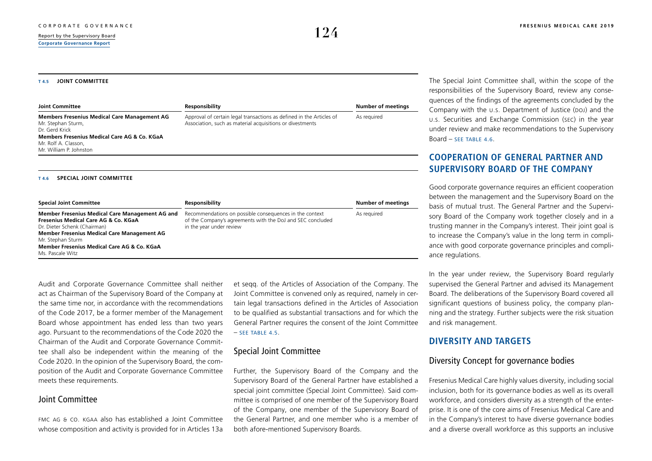### **T 4.5 JOINT COMMITTEE**

| <b>Joint Committee</b>                                                                                                                                                                         | Responsibility                                                                                                                    | <b>Number of meetings</b> |
|------------------------------------------------------------------------------------------------------------------------------------------------------------------------------------------------|-----------------------------------------------------------------------------------------------------------------------------------|---------------------------|
| <b>Members Fresenius Medical Care Management AG</b><br>Mr. Stephan Sturm,<br>Dr. Gerd Krick<br>Members Fresenius Medical Care AG & Co. KGaA<br>Mr. Rolf A. Classon,<br>Mr. William P. Johnston | Approval of certain legal transactions as defined in the Articles of<br>Association, such as material acquisitions or divestments | As required               |

### **T 4.6 SPECIAL JOINT COMMITTEE**

| <b>Special Joint Committee</b>                                                                                                                                                                                                                                        | Responsibility                                                                                                                                    | <b>Number of meetings</b> |
|-----------------------------------------------------------------------------------------------------------------------------------------------------------------------------------------------------------------------------------------------------------------------|---------------------------------------------------------------------------------------------------------------------------------------------------|---------------------------|
| Member Fresenius Medical Care Management AG and<br>Fresenius Medical Care AG & Co. KGaA<br>Dr. Dieter Schenk (Chairman)<br><b>Member Fresenius Medical Care Management AG</b><br>Mr. Stephan Sturm<br>Member Fresenius Medical Care AG & Co. KGaA<br>Ms. Pascale Witz | Recommendations on possible consequences in the context<br>of the Company's agreements with the DoJ and SEC concluded<br>in the year under review | As required               |

Audit and Corporate Governance Committee shall neither act as Chairman of the Supervisory Board of the Company at the same time nor, in accordance with the recommendations of the Code 2017, be a former member of the Management Board whose appointment has ended less than two years ago. Pursuant to the recommendations of the Code 2020 the Chairman of the Audit and Corporate Governance Committee shall also be independent within the meaning of the Code 2020. In the opinion of the Supervisory Board, the composition of the Audit and Corporate Governance Committee meets these requirements.

### Joint Committee

FMC AG & Co. KGaA also has established a Joint Committee whose composition and activity is provided for in Articles 13a et seqq. of the Articles of Association of the Company. The Joint Committee is convened only as required, namely in certain legal transactions defined in the Articles of Association to be qualified as substantial transactions and for which the General Partner requires the consent of the Joint Committee  $-$  SFF TABLE 4.5.

### Special Joint Committee

Further, the Supervisory Board of the Company and the Supervisory Board of the General Partner have established a special joint committee (Special Joint Committee). Said committee is comprised of one member of the Supervisory Board of the Company, one member of the Supervisory Board of the General Partner, and one member who is a member of both afore-mentioned Supervisory Boards.

The Special Joint Committee shall, within the scope of the responsibilities of the Supervisory Board, review any consequences of the findings of the agreements concluded by the Company with the U.S. Department of Justice (DoJ) and the U.S. Securities and Exchange Commission (SEC) in the year under review and make recommendations to the Supervisory Board – SEE TABLE 4.6.

## **COOPERATION OF GENERAL PARTNER AND SUPERVISORY BOARD OF THE COMPANY**

Good corporate governance requires an efficient cooperation between the management and the Supervisory Board on the basis of mutual trust. The General Partner and the Supervisory Board of the Company work together closely and in a trusting manner in the Company's interest. Their joint goal is to increase the Company's value in the long term in compliance with good corporate governance principles and compliance regulations.

In the year under review, the Supervisory Board regularly supervised the General Partner and advised its Management Board. The deliberations of the Supervisory Board covered all significant questions of business policy, the company planning and the strategy. Further subjects were the risk situation and risk management.

## **DIVERSITY AND TARGETS**

## Diversity Concept for governance bodies

Fresenius Medical Care highly values diversity, including social inclusion, both for its governance bodies as well as its overall workforce, and considers diversity as a strength of the enterprise. It is one of the core aims of Fresenius Medical Care and in the Company's interest to have diverse governance bodies and a diverse overall workforce as this supports an inclusive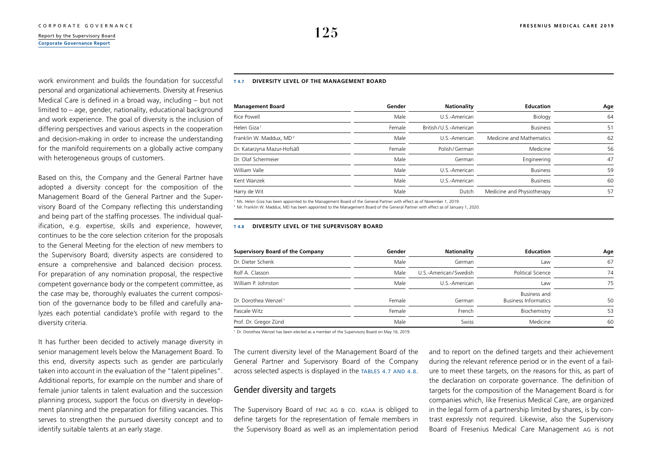## **[Corporate Governance Report](#page-1-0)**

work environment and builds the foundation for successful personal and organizational achievements. Diversity at Fresenius Medical Care is defined in a broad way, including – but not limited to – age, gender, nationality, educational background and work experience. The goal of diversity is the inclusion of differing perspectives and various aspects in the cooperation and decision-making in order to increase the understanding for the manifold requirements on a globally active company with heterogeneous groups of customers.

Based on this, the Company and the General Partner have adopted a diversity concept for the composition of the Management Board of the General Partner and the Supervisory Board of the Company reflecting this understanding and being part of the staffing processes. The individual qualification, e.g. expertise, skills and experience, however, continues to be the core selection criterion for the proposals to the General Meeting for the election of new members to the Supervisory Board; diversity aspects are considered to ensure a comprehensive and balanced decision process. For preparation of any nomination proposal, the respective competent governance body or the competent committee, as the case may be, thoroughly evaluates the current composition of the governance body to be filled and carefully analyzes each potential candidate's profile with regard to the diversity criteria.

It has further been decided to actively manage diversity in senior management levels below the Management Board. To this end, diversity aspects such as gender are particularly taken into account in the evaluation of the "talent pipelines". Additional reports, for example on the number and share of female junior talents in talent evaluation and the succession planning process, support the focus on diversity in development planning and the preparation for filling vacancies. This serves to strengthen the pursued diversity concept and to identify suitable talents at an early stage.

### **T 4.7 DIVERSITY LEVEL OF THE MANAGEMENT BOARD**

| <b>Management Board</b>             | Gender | <b>Nationality</b>    | <b>Education</b>           | Age |
|-------------------------------------|--------|-----------------------|----------------------------|-----|
| Rice Powell                         | Male   | U.S.-American         | Biology                    | 64  |
| Helen Giza <sup>1</sup>             | Female | British/U.S.-American | <b>Business</b>            | 51  |
| Franklin W. Maddux, MD <sup>2</sup> | Male   | U.S.-American         | Medicine and Mathematics   | 62  |
| Dr. Katarzyna Mazur-Hofsäß          | Female | Polish/German         | Medicine                   | 56  |
| Dr. Olaf Schermeier                 | Male   | German                | Engineering                | 47  |
| William Valle                       | Male   | U.S.-American         | <b>Business</b>            | 59  |
| Kent Wanzek                         | Male   | U.S.-American         | <b>Business</b>            | 60  |
| Harry de Wit                        | Male   | Dutch                 | Medicine and Physiotherapy | 57  |

<sup>1</sup> Ms. Helen Giza has been appointed to the Management Board of the General Partner with effect as of November 1, 2019.

<sup>2</sup> Mr. Franklin W. Maddux, MD has been appointed to the Management Board of the General Partner with effect as of January 1, 2020.

### **T 4.8 DIVERSITY LEVEL OF THE SUPERVISORY BOARD**

| <b>Supervisory Board of the Company</b> | Gender | <b>Nationality</b>    | <b>Education</b>                            | Age |
|-----------------------------------------|--------|-----------------------|---------------------------------------------|-----|
| Dr. Dieter Schenk                       | Male   | German                | Law                                         | 67  |
| Rolf A. Classon                         | Male   | U.S.-American/Swedish | Political Science                           | 74  |
| William P. Johnston                     | Male   | U.S.-American         | Law                                         | 75  |
| Dr. Dorothea Wenzel <sup>1</sup>        | Female | German                | Business and<br><b>Business Informatics</b> | 50  |
| Pascale Witz                            | Female | French                | Biochemistry                                | 53  |
| Prof. Dr. Gregor Zünd                   | Male   | Swiss                 | Medicine                                    | 60  |

<sup>1</sup> Dr. Dorothea Wenzel has been elected as a member of the Supervisory Board on May 16, 2019.

The current diversity level of the Management Board of the General Partner and Supervisory Board of the Company across selected aspects is displayed in the TABLES 4.7 AND 4.8.

## Gender diversity and targets

The Supervisory Board of FMC AG & Co. KGaA is obliged to define targets for the representation of female members in the Supervisory Board as well as an implementation period and to report on the defined targets and their achievement during the relevant reference period or in the event of a failure to meet these targets, on the reasons for this, as part of the declaration on corporate governance. The definition of targets for the composition of the Management Board is for companies which, like Fresenius Medical Care, are organized in the legal form of a partnership limited by shares, is by contrast expressly not required. Likewise, also the Supervisory Board of Fresenius Medical Care Management AG is not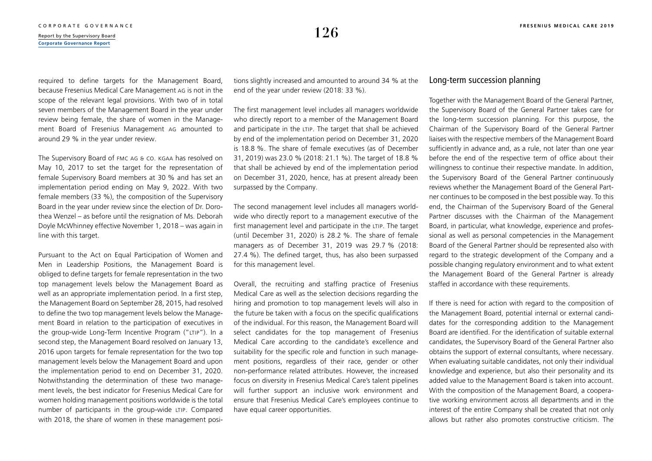required to define targets for the Management Board, because Fresenius Medical Care Management AG is not in the scope of the relevant legal provisions. With two of in total seven members of the Management Board in the year under review being female, the share of women in the Management Board of Fresenius Management AG amounted to around 29 % in the year under review.

The Supervisory Board of FMC AG & Co. KGaA has resolved on May 10, 2017 to set the target for the representation of female Supervisory Board members at 30 % and has set an implementation period ending on May 9, 2022. With two female members (33 %), the composition of the Supervisory Board in the year under review since the election of Dr. Dorothea Wenzel – as before until the resignation of Ms. Deborah Doyle McWhinney effective November 1, 2018 – was again in line with this target.

Pursuant to the Act on Equal Participation of Women and Men in Leadership Positions, the Management Board is obliged to define targets for female representation in the two top management levels below the Management Board as well as an appropriate implementation period. In a first step, the Management Board on September 28, 2015, had resolved to define the two top management levels below the Management Board in relation to the participation of executives in the group-wide Long-Term Incentive Program ("LTIP"). In a second step, the Management Board resolved on January 13, 2016 upon targets for female representation for the two top management levels below the Management Board and upon the implementation period to end on December 31, 2020. Notwithstanding the determination of these two management levels, the best indicator for Fresenius Medical Care for women holding management positions worldwide is the total number of participants in the group-wide LTIP. Compared with 2018, the share of women in these management positions slightly increased and amounted to around 34 % at the end of the year under review (2018: 33 %).

The first management level includes all managers worldwide who directly report to a member of the Management Board and participate in the LTIP. The target that shall be achieved by end of the implementation period on December 31, 2020 is 18.8 %. The share of female executives (as of December 31, 2019) was 23.0 % (2018: 21.1 %). The target of 18.8 % that shall be achieved by end of the implementation period on December 31, 2020, hence, has at present already been surpassed by the Company.

The second management level includes all managers worldwide who directly report to a management executive of the first management level and participate in the LTIP. The target (until December 31, 2020) is 28.2 %. The share of female managers as of December 31, 2019 was 29.7 % (2018: 27.4 %). The defined target, thus, has also been surpassed for this management level.

Overall, the recruiting and staffing practice of Fresenius Medical Care as well as the selection decisions regarding the hiring and promotion to top management levels will also in the future be taken with a focus on the specific qualifications of the individual. For this reason, the Management Board will select candidates for the top management of Fresenius Medical Care according to the candidate's excellence and suitability for the specific role and function in such management positions, regardless of their race, gender or other non-performance related attributes. However, the increased focus on diversity in Fresenius Medical Care's talent pipelines will further support an inclusive work environment and ensure that Fresenius Medical Care's employees continue to have equal career opportunities.

### Long-term succession planning

Together with the Management Board of the General Partner, the Supervisory Board of the General Partner takes care for the long-term succession planning. For this purpose, the Chairman of the Supervisory Board of the General Partner liaises with the respective members of the Management Board sufficiently in advance and, as a rule, not later than one year before the end of the respective term of office about their willingness to continue their respective mandate. In addition, the Supervisory Board of the General Partner continuously reviews whether the Management Board of the General Partner continues to be composed in the best possible way. To this end, the Chairman of the Supervisory Board of the General Partner discusses with the Chairman of the Management Board, in particular, what knowledge, experience and professional as well as personal competencies in the Management Board of the General Partner should be represented also with regard to the strategic development of the Company and a possible changing regulatory environment and to what extent the Management Board of the General Partner is already staffed in accordance with these requirements.

If there is need for action with regard to the composition of the Management Board, potential internal or external candidates for the corresponding addition to the Management Board are identified. For the identification of suitable external candidates, the Supervisory Board of the General Partner also obtains the support of external consultants, where necessary. When evaluating suitable candidates, not only their individual knowledge and experience, but also their personality and its added value to the Management Board is taken into account. With the composition of the Management Board, a cooperative working environment across all departments and in the interest of the entire Company shall be created that not only allows but rather also promotes constructive criticism. The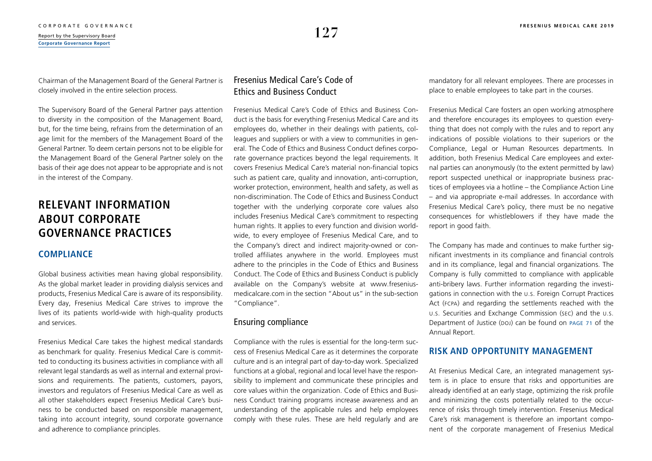Chairman of the Management Board of the General Partner is closely involved in the entire selection process.

The Supervisory Board of the General Partner pays attention to diversity in the composition of the Management Board, but, for the time being, refrains from the determination of an age limit for the members of the Management Board of the General Partner. To deem certain persons not to be eligible for the Management Board of the General Partner solely on the basis of their age does not appear to be appropriate and is not in the interest of the Company.

## **RELEVANT INFORMATION ABOUT CORPORATE GOVERNANCE PRACTICES**

## **COMPLIANCE**

Global business activities mean having global responsibility. As the global market leader in providing dialysis services and products, Fresenius Medical Care is aware of its responsibility. Every day, Fresenius Medical Care strives to improve the lives of its patients world-wide with high-quality products and services.

Fresenius Medical Care takes the highest medical standards as benchmark for quality. Fresenius Medical Care is committed to conducting its business activities in compliance with all relevant legal standards as well as internal and external provisions and requirements. The patients, customers, payors, investors and regulators of Fresenius Medical Care as well as all other stakeholders expect Fresenius Medical Care's business to be conducted based on responsible management, taking into account integrity, sound corporate governance and adherence to compliance principles.

## Fresenius Medical Care's Code of Ethics and Business Conduct

Fresenius Medical Care's Code of Ethics and Business Conduct is the basis for everything Fresenius Medical Care and its employees do, whether in their dealings with patients, colleagues and suppliers or with a view to communities in general. The Code of Ethics and Business Conduct defines corporate governance practices beyond the legal requirements. It covers Fresenius Medical Care's material non-financial topics such as patient care, quality and innovation, anti-corruption, worker protection, environment, health and safety, as well as non-discrimination. The Code of Ethics and Business Conduct together with the underlying corporate core values also includes Fresenius Medical Care's commitment to respecting human rights. It applies to every function and division worldwide, to every employee of Fresenius Medical Care, and to the Company's direct and indirect majority-owned or controlled affiliates anywhere in the world. Employees must adhere to the principles in the Code of Ethics and Business Conduct. The Code of Ethics and Business Conduct is publicly available on the Company's website at [www.fresenius](http://www.freseniusmedicalcare.com)[medicalcare.com](http://www.freseniusmedicalcare.com) in the section "About us" in the sub-section "Compliance".

## Ensuring compliance

Compliance with the rules is essential for the long-term success of Fresenius Medical Care as it determines the corporate culture and is an integral part of day-to-day work. Specialized functions at a global, regional and local level have the responsibility to implement and communicate these principles and core values within the organization. Code of Ethics and Business Conduct training programs increase awareness and an understanding of the applicable rules and help employees comply with these rules. These are held regularly and are mandatory for all relevant employees. There are processes in place to enable employees to take part in the courses.

Fresenius Medical Care fosters an open working atmosphere and therefore encourages its employees to question everything that does not comply with the rules and to report any indications of possible violations to their superiors or the Compliance, Legal or Human Resources departments. In addition, both Fresenius Medical Care employees and external parties can anonymously (to the extent permitted by law) report suspected unethical or inappropriate business practices of employees via a hotline – the Compliance Action Line – and via appropriate e-mail addresses. In accordance with Fresenius Medical Care's policy, there must be no negative consequences for whistleblowers if they have made the report in good faith.

The Company has made and continues to make further significant investments in its compliance and financial controls and in its compliance, legal and financial organizations. The Company is fully committed to compliance with applicable anti-bribery laws. Further information regarding the investigations in connection with the U.S. Foreign Corrupt Practices Act (FCPA) and regarding the settlements reached with the U.S. Securities and Exchange Commission (SEC) and the U.S. Department of Justice (DoJ) can be found on page 71 of the Annual Report.

## **RISK AND OPPORTUNITY MANAGEMENT**

At Fresenius Medical Care, an integrated management system is in place to ensure that risks and opportunities are already identified at an early stage, optimizing the risk profile and minimizing the costs potentially related to the occurrence of risks through timely intervention. Fresenius Medical Care's risk management is therefore an important component of the corporate management of Fresenius Medical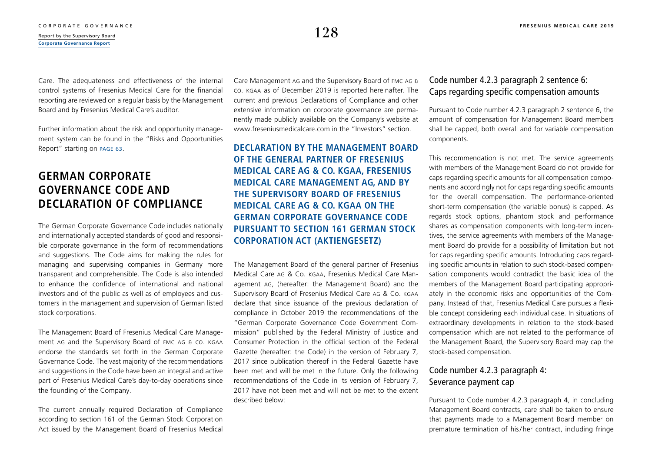Care. The adequateness and effectiveness of the internal control systems of Fresenius Medical Care for the financial reporting are reviewed on a regular basis by the Management Board and by Fresenius Medical Care's auditor.

Further information about the risk and opportunity management system can be found in the "Risks and Opportunities Report" starting on [page 63](#page--1-0).

## **GERMAN CORPORATE GOVERNANCE CODE AND DECLARATION OF COMPLIANCE**

The German Corporate Governance Code includes nationally and internationally accepted standards of good and responsible corporate governance in the form of recommendations and suggestions. The Code aims for making the rules for managing and supervising companies in Germany more transparent and comprehensible. The Code is also intended to enhance the confidence of international and national investors and of the public as well as of employees and customers in the management and supervision of German listed stock corporations.

The Management Board of Fresenius Medical Care Management AG and the Supervisory Board of FMC AG & Co. KGaA endorse the standards set forth in the German Corporate Governance Code. The vast majority of the recommendations and suggestions in the Code have been an integral and active part of Fresenius Medical Care's day-to-day operations since the founding of the Company.

The current annually required Declaration of Compliance according to section 161 of the German Stock Corporation Act issued by the Management Board of Fresenius Medical Care Management AG and the Supervisory Board of FMC AG & Co. KGaA as of December 2019 is reported hereinafter. The current and previous Declarations of Compliance and other extensive information on corporate governance are permanently made publicly available on the Company's website at [www.freseniusmedicalcare.com](http://www.freseniusmedicalcare.com) in the "Investors" section.

**DECLARATION BY THE MANAGEMENT BOARD OF THE GENERAL PARTNER OF FRESENIUS MEDICAL CARE AG & CO. KGAA, FRESENIUS MEDICAL CARE MANAGEMENT AG, AND BY THE SUPERVISORY BOARD OF FRESENIUS MEDICAL CARE AG & CO. KGAA ON THE GERMAN CORPORATE GOVERNANCE CODE PURSUANT TO SECTION 161 GERMAN STOCK CORPORATION ACT (AKTIENGESETZ)**

The Management Board of the general partner of Fresenius Medical Care AG & Co. KGaA, Fresenius Medical Care Management AG, (hereafter: the Management Board) and the Supervisory Board of Fresenius Medical Care AG & Co. KGaA declare that since issuance of the previous declaration of compliance in October 2019 the recommendations of the "German Corporate Governance Code Government Commission" published by the Federal Ministry of Justice and Consumer Protection in the official section of the Federal Gazette (hereafter: the Code) in the version of February 7, 2017 since publication thereof in the Federal Gazette have been met and will be met in the future. Only the following recommendations of the Code in its version of February 7, 2017 have not been met and will not be met to the extent described below:

## Code number 4.2.3 paragraph 2 sentence 6: Caps regarding specific compensation amounts

Pursuant to Code number 4.2.3 paragraph 2 sentence 6, the amount of compensation for Management Board members shall be capped, both overall and for variable compensation components.

This recommendation is not met. The service agreements with members of the Management Board do not provide for caps regarding specific amounts for all compensation components and accordingly not for caps regarding specific amounts for the overall compensation. The performance-oriented short-term compensation (the variable bonus) is capped. As regards stock options, phantom stock and performance shares as compensation components with long-term incentives, the service agreements with members of the Management Board do provide for a possibility of limitation but not for caps regarding specific amounts. Introducing caps regarding specific amounts in relation to such stock-based compensation components would contradict the basic idea of the members of the Management Board participating appropriately in the economic risks and opportunities of the Company. Instead of that, Fresenius Medical Care pursues a flexible concept considering each individual case. In situations of extraordinary developments in relation to the stock-based compensation which are not related to the performance of the Management Board, the Supervisory Board may cap the stock-based compensation.

## Code number 4.2.3 paragraph 4: Severance payment cap

Pursuant to Code number 4.2.3 paragraph 4, in concluding Management Board contracts, care shall be taken to ensure that payments made to a Management Board member on premature termination of his/ her contract, including fringe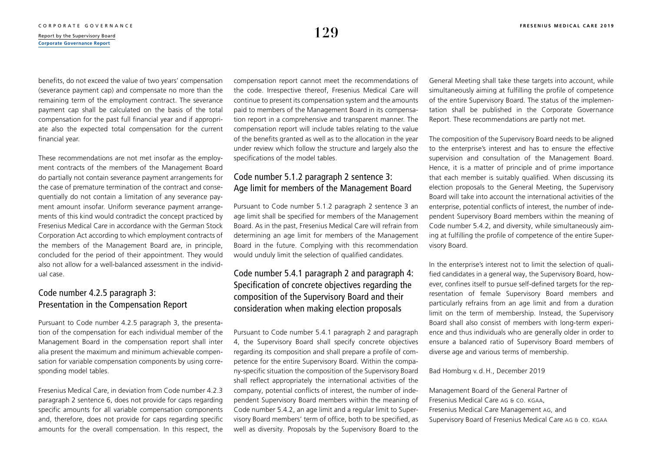benefits, do not exceed the value of two years' compensation (severance payment cap) and compensate no more than the remaining term of the employment contract. The severance payment cap shall be calculated on the basis of the total compensation for the past full financial year and if appropriate also the expected total compensation for the current financial year.

These recommendations are not met insofar as the employment contracts of the members of the Management Board do partially not contain severance payment arrangements for the case of premature termination of the contract and consequentially do not contain a limitation of any severance payment amount insofar. Uniform severance payment arrangements of this kind would contradict the concept practiced by Fresenius Medical Care in accordance with the German Stock Corporation Act according to which employment contracts of the members of the Management Board are, in principle, concluded for the period of their appointment. They would also not allow for a well-balanced assessment in the individual case.

## Code number 4.2.5 paragraph 3: Presentation in the Compensation Report

Pursuant to Code number 4.2.5 paragraph 3, the presentation of the compensation for each individual member of the Management Board in the compensation report shall inter alia present the maximum and minimum achievable compensation for variable compensation components by using corresponding model tables.

Fresenius Medical Care, in deviation from Code number 4.2.3 paragraph 2 sentence 6, does not provide for caps regarding specific amounts for all variable compensation components and, therefore, does not provide for caps regarding specific amounts for the overall compensation. In this respect, the compensation report cannot meet the recommendations of the code. Irrespective thereof, Fresenius Medical Care will continue to present its compensation system and the amounts paid to members of the Management Board in its compensation report in a comprehensive and transparent manner. The compensation report will include tables relating to the value of the benefits granted as well as to the allocation in the year under review which follow the structure and largely also the specifications of the model tables.

## Code number 5.1.2 paragraph 2 sentence 3: Age limit for members of the Management Board

Pursuant to Code number 5.1.2 paragraph 2 sentence 3 an age limit shall be specified for members of the Management Board. As in the past, Fresenius Medical Care will refrain from determining an age limit for members of the Management Board in the future. Complying with this recommendation would unduly limit the selection of qualified candidates.

## Code number 5.4.1 paragraph 2 and paragraph 4: Specification of concrete objectives regarding the composition of the Supervisory Board and their consideration when making election proposals

Pursuant to Code number 5.4.1 paragraph 2 and paragraph 4, the Supervisory Board shall specify concrete objectives regarding its composition and shall prepare a profile of competence for the entire Supervisory Board. Within the company-specific situation the composition of the Supervisory Board shall reflect appropriately the international activities of the company, potential conflicts of interest, the number of independent Supervisory Board members within the meaning of Code number 5.4.2, an age limit and a regular limit to Supervisory Board members' term of office, both to be specified, as well as diversity. Proposals by the Supervisory Board to the General Meeting shall take these targets into account, while simultaneously aiming at fulfilling the profile of competence of the entire Supervisory Board. The status of the implementation shall be published in the Corporate Governance Report. These recommendations are partly not met.

The composition of the Supervisory Board needs to be aligned to the enterprise's interest and has to ensure the effective supervision and consultation of the Management Board. Hence, it is a matter of principle and of prime importance that each member is suitably qualified. When discussing its election proposals to the General Meeting, the Supervisory Board will take into account the international activities of the enterprise, potential conflicts of interest, the number of independent Supervisory Board members within the meaning of Code number 5.4.2, and diversity, while simultaneously aiming at fulfilling the profile of competence of the entire Supervisory Board.

In the enterprise's interest not to limit the selection of qualified candidates in a general way, the Supervisory Board, however, confines itself to pursue self-defined targets for the representation of female Supervisory Board members and particularly refrains from an age limit and from a duration limit on the term of membership. Instead, the Supervisory Board shall also consist of members with long-term experience and thus individuals who are generally older in order to ensure a balanced ratio of Supervisory Board members of diverse age and various terms of membership.

### Bad Homburg v. d.H., December 2019

Management Board of the General Partner of Fresenius Medical Care AG & Co. KGAA, Fresenius Medical Care Management AG, and Supervisory Board of Fresenius Medical Care AG & Co. KGAA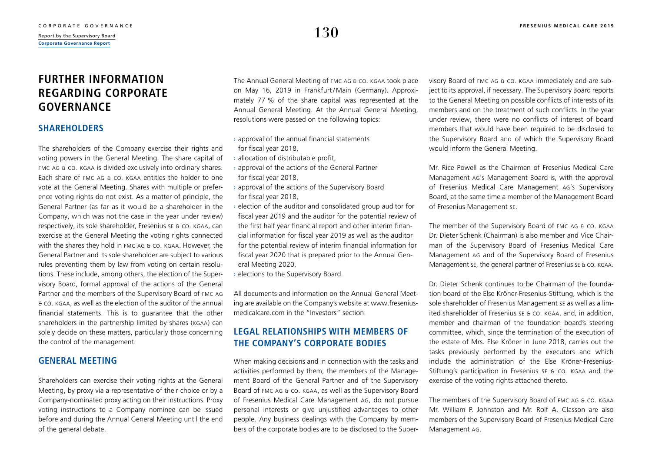## **FURTHER INFORMATION REGARDING CORPORATE GOVERNANCE**

## **SHAREHOLDERS**

The shareholders of the Company exercise their rights and voting powers in the General Meeting. The share capital of FMC AG & Co. KGaA is divided exclusively into ordinary shares. Each share of FMC AG & Co. KGaA entitles the holder to one vote at the General Meeting. Shares with multiple or preference voting rights do not exist. As a matter of principle, the General Partner (as far as it would be a shareholder in the Company, which was not the case in the year under review) respectively, its sole shareholder, Fresenius SE & Co. KGaA, can exercise at the General Meeting the voting rights connected with the shares they hold in FMC AG & CO. KGAA. However, the General Partner and its sole shareholder are subject to various rules preventing them by law from voting on certain resolutions. These include, among others, the election of the Supervisory Board, formal approval of the actions of the General Partner and the members of the Supervisory Board of FMC AG & Co. KGaA, as well as the election of the auditor of the annual financial statements. This is to guarantee that the other shareholders in the partnership limited by shares (KGAA) can solely decide on these matters, particularly those concerning the control of the management.

## **GENERAL MEETING**

Shareholders can exercise their voting rights at the General Meeting, by proxy via a representative of their choice or by a Company-nominated proxy acting on their instructions. Proxy voting instructions to a Company nominee can be issued before and during the Annual General Meeting until the end of the general debate.

The Annual General Meeting of FMC AG & Co. KGaA took place on May 16, 2019 in Frankfurt/Main (Germany). Approximately 77 % of the share capital was represented at the Annual General Meeting. At the Annual General Meeting, resolutions were passed on the following topics:

- $\rightarrow$  approval of the annual financial statements for fiscal year 2018,
- $\rightarrow$  allocation of distributable profit,
- $\rightarrow$  approval of the actions of the General Partner for fiscal year 2018,
- › approval of the actions of the Supervisory Board for fiscal year 2018,
- › election of the auditor and consolidated group auditor for fiscal year 2019 and the auditor for the potential review of the first half year financial report and other interim financial information for fiscal year 2019 as well as the auditor for the potential review of interim financial information for fiscal year 2020 that is prepared prior to the Annual General Meeting 2020,
- › elections to the Supervisory Board.

All documents and information on the Annual General Meeting are available on the Company's website at [www.fresenius](http://www.freseniusmedicalcare.com)[medicalcare.com](http://www.freseniusmedicalcare.com) in the "Investors" section.

## **LEGAL RELATIONSHIPS WITH MEMBERS OF THE COMPANY'S CORPORATE BODIES**

When making decisions and in connection with the tasks and activities performed by them, the members of the Management Board of the General Partner and of the Supervisory Board of FMC AG & Co. KGaA, as well as the Supervisory Board of Fresenius Medical Care Management AG, do not pursue personal interests or give unjustified advantages to other people. Any business dealings with the Company by members of the corporate bodies are to be disclosed to the Supervisory Board of FMC AG & Co. KGaA immediately and are subject to its approval, if necessary. The Supervisory Board reports to the General Meeting on possible conflicts of interests of its members and on the treatment of such conflicts. In the year under review, there were no conflicts of interest of board members that would have been required to be disclosed to the Supervisory Board and of which the Supervisory Board would inform the General Meeting.

Mr. Rice Powell as the Chairman of Fresenius Medical Care Management AG's Management Board is, with the approval of Fresenius Medical Care Management AG's Supervisory Board, at the same time a member of the Management Board of Fresenius Management SE.

The member of the Supervisory Board of FMC AG & Co. KGaA Dr. Dieter Schenk (Chairman) is also member and Vice Chairman of the Supervisory Board of Fresenius Medical Care Management AG and of the Supervisory Board of Fresenius Management SE, the general partner of Fresenius SE & Co. KGaA.

Dr. Dieter Schenk continues to be Chairman of the foundation board of the Else Kröner-Fresenius-Stiftung, which is the sole shareholder of Fresenius Management SE as well as a limited shareholder of Fresenius SE & Co. KGaA, and, in addition, member and chairman of the foundation board's steering committee, which, since the termination of the execution of the estate of Mrs. Else Kröner in June 2018, carries out the tasks previously performed by the executors and which include the administration of the Else Kröner-Fresenius-Stiftung's participation in Fresenius SE & Co. KGaA and the exercise of the voting rights attached thereto.

The members of the Supervisory Board of FMC AG & Co. KGaA Mr. William P. Johnston and Mr. Rolf A. Classon are also members of the Supervisory Board of Fresenius Medical Care Management AG.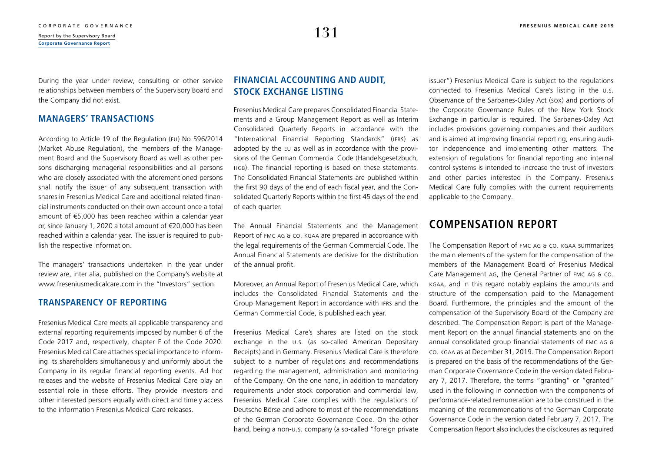During the year under review, consulting or other service relationships between members of the Supervisory Board and the Company did not exist.

## **MANAGERS' TRANSACTIONS**

According to Article 19 of the Regulation (EU) No 596/2014 (Market Abuse Regulation), the members of the Management Board and the Supervisory Board as well as other persons discharging managerial responsibilities and all persons who are closely associated with the aforementioned persons shall notify the issuer of any subsequent transaction with shares in Fresenius Medical Care and additional related financial instruments conducted on their own account once a total amount of €5,000 has been reached within a calendar year or, since January 1, 2020 a total amount of €20,000 has been reached within a calendar year. The issuer is required to publish the respective information.

The managers' transactions undertaken in the year under review are, inter alia, published on the Company's website at [www.freseniusmedicalcare.com](http://www.freseniusmedicalcare.com) in the "Investors" section

## **TRANSPARENCY OF REPORTING**

Fresenius Medical Care meets all applicable transparency and external reporting requirements imposed by number 6 of the Code 2017 and, respectively, chapter F of the Code 2020. Fresenius Medical Care attaches special importance to informing its shareholders simultaneously and uniformly about the Company in its regular financial reporting events. Ad hoc releases and the website of Fresenius Medical Care play an essential role in these efforts. They provide investors and other interested persons equally with direct and timely access to the information Fresenius Medical Care releases.

## **FINANCIAL ACCOUNTING AND AUDIT, STOCK EXCHANGE LISTING**

Fresenius Medical Care prepares Consolidated Financial Statements and a Group Management Report as well as Interim Consolidated Quarterly Reports in accordance with the "International Financial Reporting Standards" (IFRS) as adopted by the EU as well as in accordance with the provisions of the German Commercial Code (Handelsgesetzbuch, HGB). The financial reporting is based on these statements. The Consolidated Financial Statements are published within the first 90 days of the end of each fiscal year, and the Consolidated Quarterly Reports within the first 45 days of the end of each quarter.

The Annual Financial Statements and the Management Report of FMC AG & Co. KGaA are prepared in accordance with the legal requirements of the German Commercial Code. The Annual Financial Statements are decisive for the distribution of the annual profit.

Moreover, an Annual Report of Fresenius Medical Care, which includes the Consolidated Financial Statements and the Group Management Report in accordance with IFRS and the German Commercial Code, is published each year.

Fresenius Medical Care's shares are listed on the stock exchange in the U.S. (as so-called American Depositary Receipts) and in Germany. Fresenius Medical Care is therefore subject to a number of regulations and recommendations regarding the management, administration and monitoring of the Company. On the one hand, in addition to mandatory requirements under stock corporation and commercial law, Fresenius Medical Care complies with the regulations of Deutsche Börse and adhere to most of the recommendations of the German Corporate Governance Code. On the other hand, being a non-u.s. company (a so-called "foreign private

issuer") Fresenius Medical Care is subject to the regulations connected to Fresenius Medical Care's listing in the U.S. Observance of the Sarbanes-Oxley Act (SOX) and portions of the Corporate Governance Rules of the New York Stock Exchange in particular is required. The Sarbanes-Oxley Act includes provisions governing companies and their auditors and is aimed at improving financial reporting, ensuring auditor independence and implementing other matters. The extension of regulations for financial reporting and internal control systems is intended to increase the trust of investors and other parties interested in the Company. Fresenius Medical Care fully complies with the current requirements applicable to the Company.

## **COMPENSATION REPORT**

The Compensation Report of FMC AG & Co. KGaA summarizes the main elements of the system for the compensation of the members of the Management Board of Fresenius Medical Care Management AG, the General Partner of FMC AG & Co. KGaA, and in this regard notably explains the amounts and structure of the compensation paid to the Management Board. Furthermore, the principles and the amount of the compensation of the Supervisory Board of the Company are described. The Compensation Report is part of the Management Report on the annual financial statements and on the annual consolidated group financial statements of FMC AG & Co. KGaA as at December 31, 2019. The Compensation Report is prepared on the basis of the recommendations of the German Corporate Governance Code in the version dated February 7, 2017. Therefore, the terms "granting" or "granted" used in the following in connection with the components of performance-related remuneration are to be construed in the meaning of the recommendations of the German Corporate Governance Code in the version dated February 7, 2017. The Compensation Report also includes the disclosures as required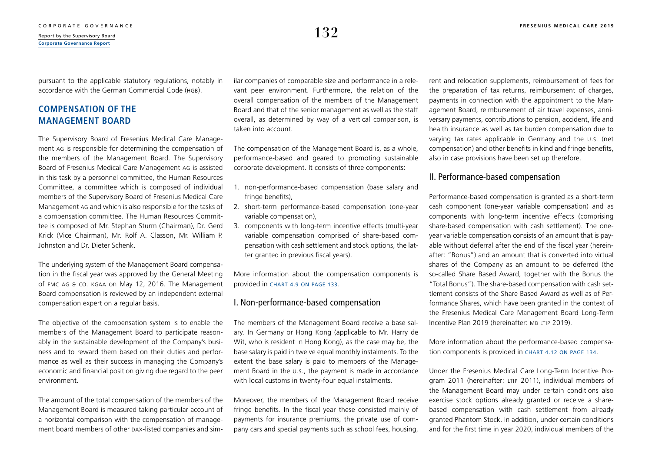pursuant to the applicable statutory regulations, notably in accordance with the German Commercial Code (HGB).

## **COMPENSATION OF THE MANAGEMENT BOARD**

The Supervisory Board of Fresenius Medical Care Management AG is responsible for determining the compensation of the members of the Management Board. The Supervisory Board of Fresenius Medical Care Management AG is assisted in this task by a personnel committee, the Human Resources Committee, a committee which is composed of individual members of the Supervisory Board of Fresenius Medical Care Management AG and which is also responsible for the tasks of a compensation committee. The Human Resources Committee is composed of Mr. Stephan Sturm (Chairman), Dr. Gerd Krick (Vice Chairman), Mr. Rolf A. Classon, Mr. William P. Johnston and Dr. Dieter Schenk.

The underlying system of the Management Board compensation in the fiscal year was approved by the General Meeting of FMC AG & Co. KGaA on May 12, 2016. The Management Board compensation is reviewed by an independent external compensation expert on a regular basis.

The objective of the compensation system is to enable the members of the Management Board to participate reasonably in the sustainable development of the Company's business and to reward them based on their duties and performance as well as their success in managing the Company's economic and financial position giving due regard to the peer environment.

The amount of the total compensation of the members of the Management Board is measured taking particular account of a horizontal comparison with the compensation of management board members of other DAX-listed companies and similar companies of comparable size and performance in a relevant peer environment. Furthermore, the relation of the overall compensation of the members of the Management Board and that of the senior management as well as the staff overall, as determined by way of a vertical comparison, is taken into account.

The compensation of the Management Board is, as a whole, performance-based and geared to promoting sustainable corporate development. It consists of three components:

- 1. non-performance-based compensation (base salary and fringe benefits),
- 2. short-term performance-based compensation (one-year variable compensation),
- 3. components with long-term incentive effects (multi-year variable compensation comprised of share-based compensation with cash settlement and stock options, the latter granted in previous fiscal years).

More information about the compensation components is provided in [chart 4.9 on page 133](#page-16-0).

## I. Non-performance-based compensation

The members of the Management Board receive a base salary. In Germany or Hong Kong (applicable to Mr. Harry de Wit, who is resident in Hong Kong), as the case may be, the base salary is paid in twelve equal monthly instalments. To the extent the base salary is paid to members of the Management Board in the U.S., the payment is made in accordance with local customs in twenty-four equal instalments.

Moreover, the members of the Management Board receive fringe benefits. In the fiscal year these consisted mainly of payments for insurance premiums, the private use of company cars and special payments such as school fees, housing,

rent and relocation supplements, reimbursement of fees for the preparation of tax returns, reimbursement of charges, payments in connection with the appointment to the Management Board, reimbursement of air travel expenses, anniversary payments, contributions to pension, accident, life and health insurance as well as tax burden compensation due to varying tax rates applicable in Germany and the U.S. (net compensation) and other benefits in kind and fringe benefits, also in case provisions have been set up therefore.

## II. Performance-based compensation

Performance-based compensation is granted as a short-term cash component (one-year variable compensation) and as components with long-term incentive effects (comprising share-based compensation with cash settlement). The oneyear variable compensation consists of an amount that is payable without deferral after the end of the fiscal year (hereinafter: "Bonus") and an amount that is converted into virtual shares of the Company as an amount to be deferred (the so-called Share Based Award, together with the Bonus the "Total Bonus"). The share-based compensation with cash settlement consists of the Share Based Award as well as of Performance Shares, which have been granted in the context of the Fresenius Medical Care Management Board Long-Term Incentive Plan 2019 (hereinafter: MB LTIP 2019).

More information about the performance-based compensation components is provided in CHART 4.12 ON PAGE 134.

Under the Fresenius Medical Care Long-Term Incentive Program 2011 (hereinafter: LTIP 2011), individual members of the Management Board may under certain conditions also exercise stock options already granted or receive a sharebased compensation with cash settlement from already granted Phantom Stock. In addition, under certain conditions and for the first time in year 2020, individual members of the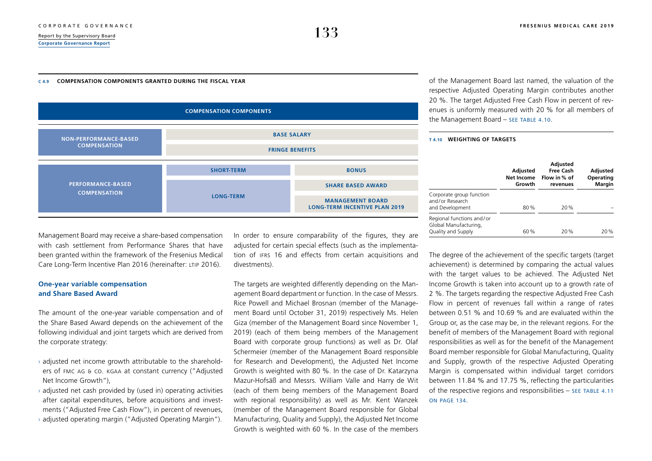### <span id="page-16-0"></span>**C 4.9 COMPENSATION COMPONENTS GRANTED DURING THE FISCAL YEAR**

of the Management Board last named, the valuation of the respective Adjusted Operating Margin contributes another 20 %. The target Adjusted Free Cash Flow in percent of revenues is uniformly measured with 20 % for all members of the Management Board - SEE TABLE 4.10.



### **T 4.10 WEIGHTING OF TARGETS**

|                                                                          | <b>Adjusted</b><br><b>Net Income</b><br>Growth | <b>Adjusted</b><br><b>Free Cash</b><br>Flow in % of<br>revenues | <b>Adjusted</b><br>Operating<br><b>Margin</b> |  |
|--------------------------------------------------------------------------|------------------------------------------------|-----------------------------------------------------------------|-----------------------------------------------|--|
| Corporate group function<br>and/or Research<br>and Development           | 80%                                            | 20%                                                             |                                               |  |
| Regional functions and/or<br>Global Manufacturing,<br>Quality and Supply | 60%                                            | 20%                                                             | 20%                                           |  |

Management Board may receive a share-based compensation with cash settlement from Performance Shares that have been granted within the framework of the Fresenius Medical Care Long-Term Incentive Plan 2016 (hereinafter: LTIP 2016).

### **One-year variable compensation and Share Based Award**

The amount of the one-year variable compensation and of the Share Based Award depends on the achievement of the following individual and joint targets which are derived from the corporate strategy:

- $\rightarrow$  adjusted net income growth attributable to the shareholders of FMC AG & Co. KGaA at constant currency ("Adjusted Net Income Growth"),
- $\rightarrow$  adjusted net cash provided by (used in) operating activities after capital expenditures, before acquisitions and investments ("Adjusted Free Cash Flow"), in percent of revenues,
- › adjusted operating margin ("Adjusted Operating Margin").

In order to ensure comparability of the figures, they are adjusted for certain special effects (such as the implementation of IFRS 16 and effects from certain acquisitions and divestments).

The targets are weighted differently depending on the Management Board department or function. In the case of Messrs. Rice Powell and Michael Brosnan (member of the Management Board until October 31, 2019) respectively Ms. Helen Giza (member of the Management Board since November 1, 2019) (each of them being members of the Management Board with corporate group functions) as well as Dr. Olaf Schermeier (member of the Management Board responsible for Research and Development), the Adjusted Net Income Growth is weighted with 80 %. In the case of Dr. Katarzyna Mazur-Hofsäß and Messrs. William Valle and Harry de Wit (each of them being members of the Management Board with regional responsibility) as well as Mr. Kent Wanzek (member of the Management Board responsible for Global Manufacturing, Quality and Supply), the Adjusted Net Income Growth is weighted with 60 %. In the case of the members The degree of the achievement of the specific targets (target) achievement) is determined by comparing the actual values with the target values to be achieved. The Adjusted Net Income Growth is taken into account up to a growth rate of 2 %. The targets regarding the respective Adjusted Free Cash Flow in percent of revenues fall within a range of rates between 0.51 % and 10.69 % and are evaluated within the Group or, as the case may be, in the relevant regions. For the benefit of members of the Management Board with regional responsibilities as well as for the benefit of the Management Board member responsible for Global Manufacturing, Quality and Supply, growth of the respective Adjusted Operating Margin is compensated within individual target corridors between 11.84 % and 17.75 %, reflecting the particularities of the respective regions and responsibilities – [see table](#page-17-0) 4.11 [on page 134](#page-17-0).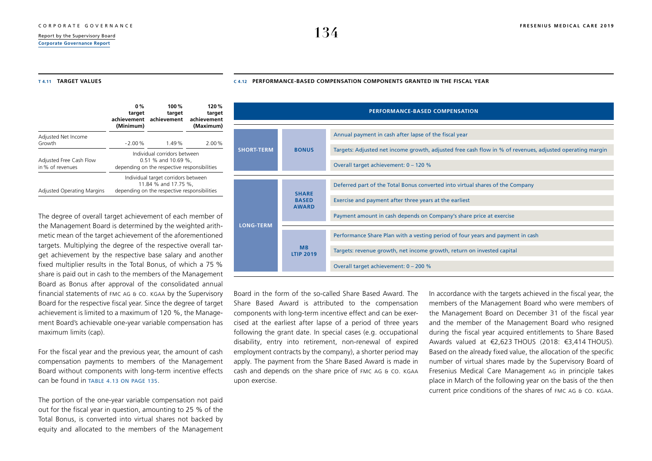## <span id="page-17-0"></span> $\frac{134}{\frac{134}{\frac{24}{\frac{24}{\frac{24}{\frac{24}{\frac{24}{\frac{24}{\frac{24}{\frac{24}{\frac{24}{\frac{24}{\frac{24}{\frac{24}{\frac{24}{\frac{24}{\frac{24}{\frac{24}{\frac{24}{\frac{24}{\frac{24}{\frac{24}{\frac{24}{\frac{24}{\frac{24}{\frac{24}{\frac{24}{\frac{24}{\frac{24}{\frac{24}{\frac{24}{\frac{24}{\frac{24}{\frac{24}{\frac{24}{\frac{24}{\frac$

**[Corporate Governance Report](#page-1-0)**

**C 4.12 PERFORMANCE-BASED COMPENSATION COMPONENTS GRANTED IN THE FISCAL YEAR**

### **T 4.11 TARGET VALUES**

|                                             | $0\%$<br>target<br>achievement<br>(Minimum)                                                                 | 100 $%$<br>target<br>achievement |       |  |  |
|---------------------------------------------|-------------------------------------------------------------------------------------------------------------|----------------------------------|-------|--|--|
| Adjusted Net Income<br>Growth               | $-2.00%$                                                                                                    | 1.49%                            | 2.00% |  |  |
| Adjusted Free Cash Flow<br>in % of revenues | Individual corridors between<br>0.51 % and 10.69 %,<br>depending on the respective responsibilities         |                                  |       |  |  |
| <b>Adjusted Operating Margins</b>           | Individual target corridors between<br>11.84 % and 17.75 %,<br>depending on the respective responsibilities |                                  |       |  |  |

The degree of overall target achievement of each member of the Management Board is determined by the weighted arithmetic mean of the target achievement of the aforementioned targets. Multiplying the degree of the respective overall target achievement by the respective base salary and another fixed multiplier results in the Total Bonus, of which a 75 % share is paid out in cash to the members of the Management Board as Bonus after approval of the consolidated annual financial statements of FMC AG & Co. KGaA by the Supervisory Board for the respective fiscal year. Since the degree of target achievement is limited to a maximum of 120 %, the Management Board's achievable one-year variable compensation has maximum limits (cap).

For the fiscal year and the previous year, the amount of cash compensation payments to members of the Management Board without components with long-term incentive effects  $can$  be found in TABLE 4.13 ON PAGE 135.

The portion of the one-year variable compensation not paid out for the fiscal year in question, amounting to 25 % of the Total Bonus, is converted into virtual shares not backed by equity and allocated to the members of the Management

|                                   |                                              | <b>PERFORMANCE-BASED COMPENSATION</b>                                                                    |
|-----------------------------------|----------------------------------------------|----------------------------------------------------------------------------------------------------------|
|                                   |                                              | Annual payment in cash after lapse of the fiscal year                                                    |
| <b>SHORT-TERM</b><br><b>BONUS</b> |                                              | Targets: Adjusted net income growth, adjusted free cash flow in % of revenues, adjusted operating margin |
|                                   |                                              | Overall target achievement: 0 - 120 %                                                                    |
|                                   |                                              | Deferred part of the Total Bonus converted into virtual shares of the Company                            |
|                                   | <b>SHARE</b><br><b>BASED</b><br><b>AWARD</b> | Exercise and payment after three years at the earliest                                                   |
|                                   |                                              | Payment amount in cash depends on Company's share price at exercise                                      |
| <b>LONG-TERM</b>                  |                                              | Performance Share Plan with a vesting period of four years and payment in cash                           |
|                                   | <b>MB</b><br><b>LTIP 2019</b>                | Targets: revenue growth, net income growth, return on invested capital                                   |
|                                   |                                              | Overall target achievement: 0 - 200 %                                                                    |

Board in the form of the so-called Share Based Award. The Share Based Award is attributed to the compensation components with long-term incentive effect and can be exercised at the earliest after lapse of a period of three years following the grant date. In special cases (e.g. occupational disability, entry into retirement, non-renewal of expired employment contracts by the company), a shorter period may apply. The payment from the Share Based Award is made in cash and depends on the share price of FMC AG & Co. KGaA upon exercise.

In accordance with the targets achieved in the fiscal year, the members of the Management Board who were members of the Management Board on December 31 of the fiscal year and the member of the Management Board who resigned during the fiscal year acquired entitlements to Share Based Awards valued at €2,623 THOUS (2018: €3,414 THOUS). Based on the already fixed value, the allocation of the specific number of virtual shares made by the Supervisory Board of Fresenius Medical Care Management AG in principle takes place in March of the following year on the basis of the then current price conditions of the shares of FMC AG & Co. KGaA.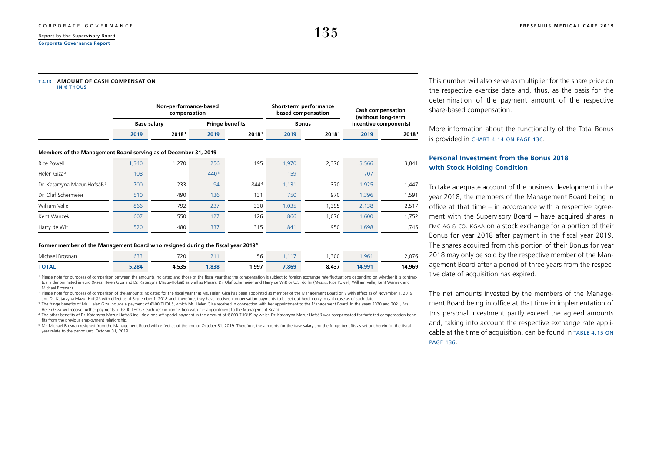<span id="page-18-0"></span>**[Corporate Governance Report](#page-1-0)**

#### **T 4.13 AMOUNT OF CASH COMPENSATION**  $I$  IN  $\epsilon$  through

| <b>IN 도 IIIUUJ</b> |  |  |
|--------------------|--|--|
|                    |  |  |
|                    |  |  |

|      | Non-performance-based<br>compensation |      |                        |      | Short-term performance<br>based compensation | <b>Cash compensation</b><br>(without long-term |                       |  |
|------|---------------------------------------|------|------------------------|------|----------------------------------------------|------------------------------------------------|-----------------------|--|
|      | Base salarv                           |      | <b>Fringe benefits</b> |      | Bonus                                        |                                                | incentive components) |  |
| 2019 | 20181                                 | 2019 | 20181                  | 2019 | 20181                                        | 2019                                           | 20181                 |  |

### **Members of the Management Board serving as of December 31, 2019**

| Rice Powell                             | ,340 | 1.270                    | 256              | 195    | .970  | 2.376 | 3,566 | 3,841 |
|-----------------------------------------|------|--------------------------|------------------|--------|-------|-------|-------|-------|
| Helen Giza <sup>2</sup>                 | 108  | $\overline{\phantom{a}}$ | 440 <sup>3</sup> | $\sim$ | 159   | -     | 707   |       |
| Dr. Katarzyna Mazur-Hofsäß <sup>2</sup> | 700  | 233                      | 94               | 8444   | 1.131 | 370   | 1,925 | 1,447 |
| Dr. Olaf Schermeier                     | 510  | 490                      | 136              | 131    | 750   | 970   | 1,396 | 1,591 |
| William Valle                           | 866  | 792                      | 237              | 330    | .035  | 1.395 | 2.138 | 2,517 |
| Kent Wanzek                             | 607  | 550                      | 127              | 126    | 866   | 1,076 | 1,600 | 1,752 |
| Harry de Wit                            | 520  | 480                      | 337              | 315    | 841   | 950   | 1,698 | 1,745 |

### **Former member of the Management Board who resigned during the fiscal year 2019 <sup>5</sup>**

| Michael<br>Brosnan | $- - -$<br>ບບບ | 720   | 24<br>$\sim$ 1 | $\sim$<br>56 |       | ,300  | .96    | ን ሰ7៨<br>2.V / V |
|--------------------|----------------|-------|----------------|--------------|-------|-------|--------|------------------|
| <b>TOTAL</b>       | 5,284          | 4,535 | ,838           | 1,997        | 7,869 | 8,437 | 14,991 | 14,969           |

<sup>1</sup> Please note for purposes of comparison between the amounts indicated and those of the fiscal year that the compensation is subject to foreign exchange rate fluctuations depending on whether it is contractually denominated in euro (Mses. Helen Giza and Dr. Katarzyna Mazur-Hofsäß as well as Messrs. Dr. Olaf Schermeier and Harry de Wit) or U.S. dollar (Messrs. Rice Powell, William Valle, Kent Wanzek and Michael Brosnan).

2 Please note for purposes of comparison of the amounts indicated for the fiscal year that Ms. Helen Giza has been appointed as member of the Management Board only with effect as of November 1, 2019 and Dr. Katarzyna Mazur-Hofsäß with effect as of September 1, 2018 and, therefore, they have received compensation payments to be set out herein only in each case as of such date.

<sup>3</sup> The fringe benefits of Ms. Helen Giza include a payment of €400 THOUS, which Ms. Helen Giza received in connection with her appointment to the Management Board. In the years 2020 and 2021, Ms. Helen Giza will receive further payments of €200 THOUS each year in connection with her appointment to the Management Board.

4 The other benefits of Dr. Katarzyna Mazur-Hofsäß include a one-off special payment in the amount of € 800 THOUS by which Dr. Katarzyna Mazur-Hofsäß was compensated for forfeited compensation benefits from the previous employment relationship.

 $^{\rm 5}$  Mr. Michael Brosnan resigned from the Management Board with effect as of the end of October 31, 2019. Therefore, the amounts for the base salary and the fringe benefits as set out herein for the fiscal year relate to the period until October 31, 2019.

This number will also serve as multiplier for the share price on the respective exercise date and, thus, as the basis for the determination of the payment amount of the respective share-based compensation.

More information about the functionality of the Total Bonus is provided in [chart 4.14 on page 136](#page-19-0).

### **Personal Investment from the Bonus 2018 with Stock Holding Condition**

To take adequate account of the business development in the year 2018, the members of the Management Board being in office at that time – in accordance with a respective agreement with the Supervisory Board – have acquired shares in FMC AG & CO. KGAA on a stock exchange for a portion of their Bonus for year 2018 after payment in the fiscal year 2019. The shares acquired from this portion of their Bonus for year 2018 may only be sold by the respective member of the Management Board after a period of three years from the respective date of acquisition has expired.

The net amounts invested by the members of the Management Board being in office at that time in implementation of this personal investment partly exceed the agreed amounts and, taking into account the respective exchange rate applicable at the time of acquisition, can be found in TABLE 4.15 ON [page 136](#page-19-0).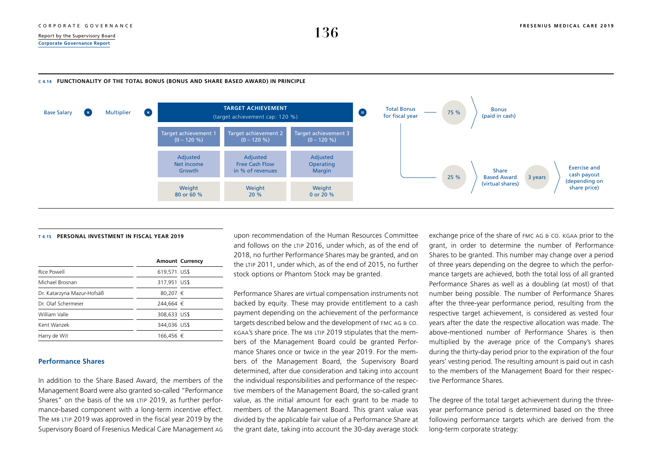## <span id="page-19-0"></span> $\frac{R_{\text{eport by the Supervisory Board}}{R_{\text{eport by the Supervisory Board}}}$ **[Corporate Governance Report](#page-1-0)**

### **C 4.14 FUNCTIONALITY OF THE TOTAL BONUS (BONUS AND SHARE BASED AWARD) IN PRINCIPLE**



### **T 4.15 PERSONAL INVESTMENT IN FISCAL YEAR 2019**

|                            |              | <b>Amount Currency</b> |
|----------------------------|--------------|------------------------|
| Rice Powell                | 619,571 US\$ |                        |
| Michael Brosnan            | 317,951 US\$ |                        |
| Dr. Katarzyna Mazur-Hofsäß | 80,207 €     |                        |
| Dr. Olaf Schermeier        | 244.664 €    |                        |
| William Valle              | 308,633 US\$ |                        |
| Kent Wanzek                | 344,036 US\$ |                        |
| Harry de Wit               | 166,456 €    |                        |

### **Performance Shares**

In addition to the Share Based Award, the members of the Management Board were also granted so-called "Performance Shares" on the basis of the MB LTIP 2019, as further performance-based component with a long-term incentive effect. The MB LTIP 2019 was approved in the fiscal year 2019 by the Supervisory Board of Fresenius Medical Care Management AG upon recommendation of the Human Resources Committee and follows on the LTIP 2016, under which, as of the end of 2018, no further Performance Shares may be granted, and on the LTIP 2011, under which, as of the end of 2015, no further stock options or Phantom Stock may be granted.

Performance Shares are virtual compensation instruments not backed by equity. These may provide entitlement to a cash payment depending on the achievement of the performance targets described below and the development of FMC AG & Co. KGaA's share price. The MB LTIP 2019 stipulates that the members of the Management Board could be granted Performance Shares once or twice in the year 2019. For the members of the Management Board, the Supervisory Board determined, after due consideration and taking into account the individual responsibilities and performance of the respective members of the Management Board, the so-called grant value, as the initial amount for each grant to be made to members of the Management Board. This grant value was divided by the applicable fair value of a Performance Share at the grant date, taking into account the 30-day average stock exchange price of the share of FMC AG & Co. KGaA prior to the grant, in order to determine the number of Performance Shares to be granted. This number may change over a period of three years depending on the degree to which the performance targets are achieved, both the total loss of all granted Performance Shares as well as a doubling (at most) of that number being possible. The number of Performance Shares after the three-year performance period, resulting from the respective target achievement, is considered as vested four years after the date the respective allocation was made. The above-mentioned number of Performance Shares is then multiplied by the average price of the Company's shares during the thirty-day period prior to the expiration of the four years' vesting period. The resulting amount is paid out in cash to the members of the Management Board for their respective Performance Shares.

The degree of the total target achievement during the threeyear performance period is determined based on the three following performance targets which are derived from the long-term corporate strategy: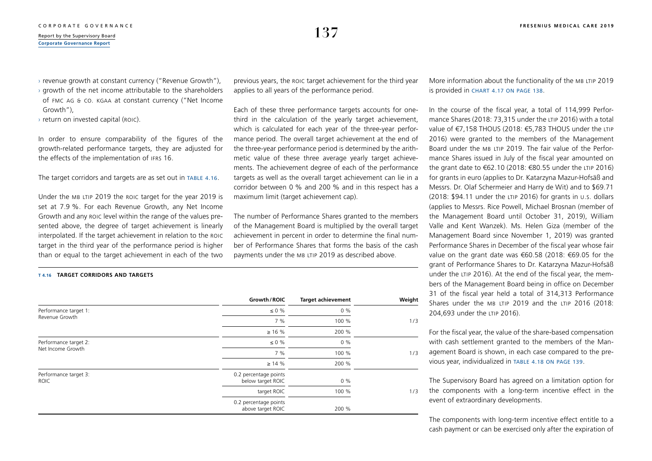$\rightarrow$  revenue growth at constant currency ("Revenue Growth").

 $\rightarrow$  growth of the net income attributable to the shareholders of FMC AG & Co. KGaA at constant currency ("Net Income Growth"),

› return on invested capital (ROIC).

**T 4.16 TARGET CORRIDORS AND TARGETS**

In order to ensure comparability of the figures of the growth-related performance targets, they are adjusted for the effects of the implementation of IFRS 16.

The target corridors and targets are as set out in TABLE 4.16.

Under the MB LTIP 2019 the ROIC target for the year 2019 is set at 7.9 %. For each Revenue Growth, any Net Income Growth and any ROIC level within the range of the values presented above, the degree of target achievement is linearly interpolated. If the target achievement in relation to the ROIC target in the third year of the performance period is higher than or equal to the target achievement in each of the two

previous years, the ROIC target achievement for the third year applies to all years of the performance period.

Each of these three performance targets accounts for onethird in the calculation of the yearly target achievement, which is calculated for each year of the three-year performance period. The overall target achievement at the end of the three-year performance period is determined by the arithmetic value of these three average yearly target achievements. The achievement degree of each of the performance targets as well as the overall target achievement can lie in a corridor between 0 % and 200 % and in this respect has a maximum limit (target achievement cap).

The number of Performance Shares granted to the members of the Management Board is multiplied by the overall target achievement in percent in order to determine the final number of Performance Shares that forms the basis of the cash payments under the MB LTIP 2019 as described above.

**Growth/ROIC Target achievement Weight** Performance target 1: Revenue Growth  $< 0 \frac{9}{6}$  0 % 7 % 100 % 1/3  $> 16 \%$  200 % Performance target 2: Net Income Growth  $< 0 \frac{9}{6}$  0 % 7 % 100 % 1/3  $> 14 \%$  200 % Performance target 3: ROIC 0.2 percentage points below target ROIC 0 % target ROIC 100 % 1/3 0.2 percentage points above target ROIC 200 %

More information about the functionality of the MB LTIP 2019 is provided in [chart 4.17 on page 138](#page-21-0).

In the course of the fiscal year, a total of 114,999 Performance Shares (2018: 73,315 under the LTIP 2016) with a total value of €7,158 THOUS (2018: €5,783 THOUS under the LTIP 2016) were granted to the members of the Management Board under the MB LTIP 2019. The fair value of the Performance Shares issued in July of the fiscal year amounted on the grant date to €62.10 (2018: €80.55 under the LTIP 2016) for grants in euro (applies to Dr. Katarzyna Mazur-Hofsäß and Messrs. Dr. Olaf Schermeier and Harry de Wit) and to \$69.71 (2018: \$94.11 under the LTIP 2016) for grants in U.S. dollars (applies to Messrs. Rice Powell, Michael Brosnan (member of the Management Board until October 31, 2019), William Valle and Kent Wanzek). Ms. Helen Giza (member of the Management Board since November 1, 2019) was granted Performance Shares in December of the fiscal year whose fair value on the grant date was €60.58 (2018: €69.05 for the grant of Performance Shares to Dr. Katarzyna Mazur-Hofsäß under the LTIP 2016). At the end of the fiscal year, the members of the Management Board being in office on December 31 of the fiscal year held a total of 314,313 Performance Shares under the MB LTIP 2019 and the LTIP 2016 (2018: 204,693 under the LTIP 2016).

For the fiscal year, the value of the share-based compensation with cash settlement granted to the members of the Management Board is shown, in each case compared to the previous year, individualized in [table 4.18 on page 139](#page-22-0).

The Supervisory Board has agreed on a limitation option for the components with a long-term incentive effect in the event of extraordinary developments.

The components with long-term incentive effect entitle to a cash payment or can be exercised only after the expiration of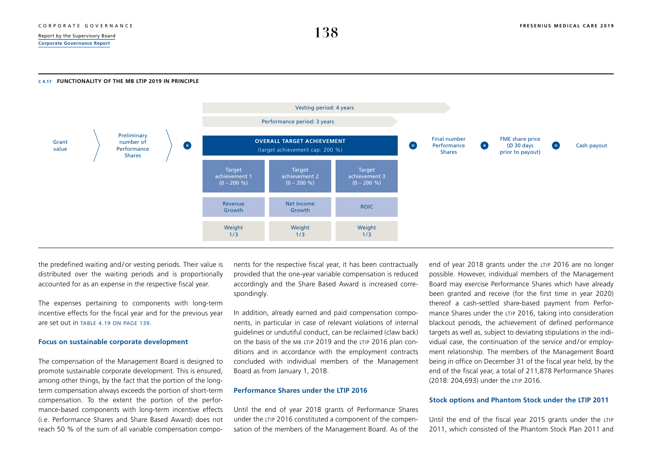### <span id="page-21-0"></span>**C 4.17 FUNCTIONALITY OF THE MB LTIP 2019 IN PRINCIPLE**



the predefined waiting and / or vesting periods. Their value is distributed over the waiting periods and is proportionally accounted for as an expense in the respective fiscal year.

The expenses pertaining to components with long-term incentive effects for the fiscal year and for the previous year are set out in [table 4.19 on page 139](#page-22-0).

### **Focus on sustainable corporate development**

The compensation of the Management Board is designed to promote sustainable corporate development. This is ensured, among other things, by the fact that the portion of the longterm compensation always exceeds the portion of short-term compensation. To the extent the portion of the performance-based components with long-term incentive effects (i.e. Performance Shares and Share Based Award) does not reach 50 % of the sum of all variable compensation components for the respective fiscal year, it has been contractually provided that the one-year variable compensation is reduced accordingly and the Share Based Award is increased correspondingly.

In addition, already earned and paid compensation components, in particular in case of relevant violations of internal guidelines or undutiful conduct, can be reclaimed (claw back) on the basis of the MB LTIP 2019 and the LTIP 2016 plan conditions and in accordance with the employment contracts concluded with individual members of the Management Board as from January 1, 2018.

### **Performance Shares under the LTIP 2016**

Until the end of year 2018 grants of Performance Shares under the LTIP 2016 constituted a component of the compensation of the members of the Management Board. As of the end of year 2018 grants under the LTIP 2016 are no longer possible. However, individual members of the Management Board may exercise Performance Shares which have already been granted and receive (for the first time in year 2020) thereof a cash-settled share-based payment from Performance Shares under the LTIP 2016, taking into consideration blackout periods, the achievement of defined performance targets as well as, subject to deviating stipulations in the individual case, the continuation of the service and/or employment relationship. The members of the Management Board being in office on December 31 of the fiscal year held, by the end of the fiscal year, a total of 211,878 Performance Shares (2018: 204,693) under the LTIP 2016.

### **Stock options and Phantom Stock under the LTIP 2011**

Until the end of the fiscal year 2015 grants under the LTIP 2011, which consisted of the Phantom Stock Plan 2011 and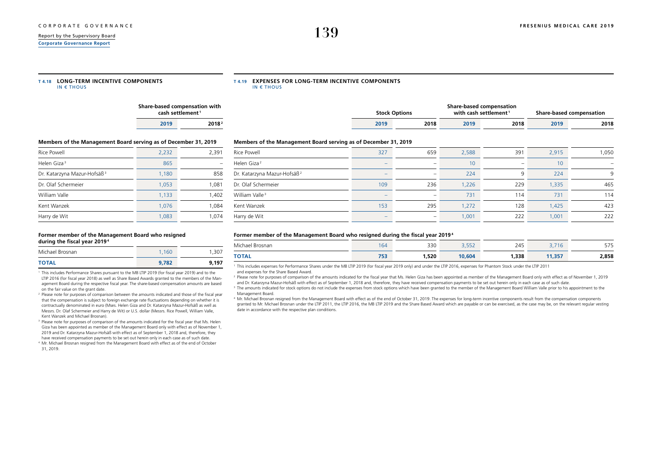<span id="page-22-0"></span>**[Corporate Governance Report](#page-1-0)**

| T4.18 LONG-TERM INCENTIVE COMPONENTS |
|--------------------------------------|
| IN $\epsilon$ THOUS                  |

#### **T 4.19 EXPENSES FOR LONG-TERM INCENTIVE COMPONENTS** IN  $\epsilon$  THOUS

|      | Share-based compensation with<br>cash settlement <sup>1</sup> |  |  |  |  |  |
|------|---------------------------------------------------------------|--|--|--|--|--|
| 2019 | 2018 <sup>2</sup>                                             |  |  |  |  |  |

|      | <b>Stock Options</b> |      | Share-based compensation<br>with cash settlement <sup>1</sup> |      | Share-based compensation |
|------|----------------------|------|---------------------------------------------------------------|------|--------------------------|
| 2019 | 2018                 | 2019 | 2018                                                          | 2019 | 2018                     |

### **Members of the Management Board serving as of December 31, 2019**

| Rice Powell                             | 2,232 | 2,391 |
|-----------------------------------------|-------|-------|
| Helen Giza <sup>3</sup>                 | 865   |       |
| Dr. Katarzyna Mazur-Hofsäß <sup>3</sup> | 1,180 | 858   |
| Dr. Olaf Schermeier                     | 1,053 | 1,081 |
| William Valle                           | 1.133 | 1,402 |
| Kent Wanzek                             | 1.076 | 1,084 |
| Harry de Wit                            | 1.083 | 1.074 |

### **Former member of the Management Board who resigned during the fiscal year 20194**

| Michael Brosnan | 1.160 | 1.307 |
|-----------------|-------|-------|
| <b>TOTAL</b>    | 9,782 | 9.197 |

1 This includes Performance Shares pursuant to the MB LTIP 2019 (for fiscal year 2019) and to the LTIP 2016 (for fiscal year 2018) as well as Share Based Awards granted to the members of the Management Board during the respective fiscal year. The share-based compensation amounts are based on the fair value on the grant date.

<sup>2</sup> Please note for purposes of comparison between the amounts indicated and those of the fiscal year that the compensation is subject to foreign exchange rate fluctuations depending on whether it is contractually denominated in euro (Mses. Helen Giza and Dr. Katarzyna Mazur-Hofsäß as well as Messrs. Dr. Olaf Schermeier and Harry de Wit) or U.S. dollar (Messrs. Rice Powell, William Valle, Kent Wanzek and Michael Brosnan).

3 Please note for purposes of comparison of the amounts indicated for the fiscal year that Ms. Helen Giza has been appointed as member of the Management Board only with effect as of November 1, 2019 and Dr. Katarzyna Mazur-Hofsäß with effect as of September 1, 2018 and, therefore, they have received compensation payments to be set out herein only in each case as of such date.

4 Mr. Michael Brosnan resigned from the Management Board with effect as of the end of October 31, 2019.

### **Members of the Management Board serving as of December 31, 2019**

| Rice Powell                             | 327                      | 659                      | 2,588 | 391                      | 2,915 | 1,050 |
|-----------------------------------------|--------------------------|--------------------------|-------|--------------------------|-------|-------|
| Helen Giza <sup>2</sup>                 | $\overline{\phantom{a}}$ | $\overline{\phantom{a}}$ | 10    | $\overline{\phantom{a}}$ | 10    |       |
| Dr. Katarzyna Mazur-Hofsäß <sup>2</sup> | $\overline{\phantom{0}}$ | $\overline{\phantom{a}}$ | 224   | 9                        | 224   | 9     |
| Dr. Olaf Schermeier                     | 109                      | 236                      | 1,226 | 229                      | 1,335 | 465   |
| William Valle <sup>3</sup>              | $\overline{\phantom{a}}$ | $\overline{\phantom{a}}$ | 731   | 114                      | 731   | 114   |
| Kent Wanzek                             | 153                      | 295                      | 1,272 | 128                      | 1,425 | 423   |
| Harry de Wit                            | -                        | $\overline{\phantom{a}}$ | 1,001 | 222                      | 1,001 | 222   |

### **Former member of the Management Board who resigned during the fiscal year 20194**

| $\cdot$ .<br>Michael<br>Brosnan | O           | 330   | $- - - -$<br>ے ت ر ت | 245<br>and the contract of the contract of | ιU<br>- -    | <b>CRE</b><br><i>- 1</i> - |
|---------------------------------|-------------|-------|----------------------|--------------------------------------------|--------------|----------------------------|
| <b>TOTAL</b>                    | フロ<br>, , , | 1,520 | 10,604               | 1,338                                      | 14. 257<br>. | 2,858                      |

1 This includes expenses for Performance Shares under the MB LTIP 2019 (for fiscal year 2019 only) and under the LTIP 2016, expenses for Phantom Stock under the LTIP 2011 and expenses for the Share Based Award.

2 Please note for purposes of comparison of the amounts indicated for the fiscal year that Ms. Helen Giza has been appointed as member of the Management Board only with effect as of November 1, 2019 and Dr. Katarzyna Mazur-Hofsäß with effect as of September 1, 2018 and, therefore, they have received compensation payments to be set out herein only in each case as of such date.

 $^{\rm 3}$  The amounts indicated for stock options do not include the expenses from stock options which have been granted to the member of the Management Board William Valle prior to his appointment to the Management Board.

4 Mr. Michael Brosnan resigned from the Management Board with effect as of the end of October 31, 2019. The expenses for long-term incentive components result from the compensation components granted to Mr. Michael Brosnan under the LTIP 2011, the LTIP 2016, the MB LTIP 2019 and the Share Based Award which are payable or can be exercised, as the case may be, on the relevant regular vesting date in accordance with the respective plan conditions.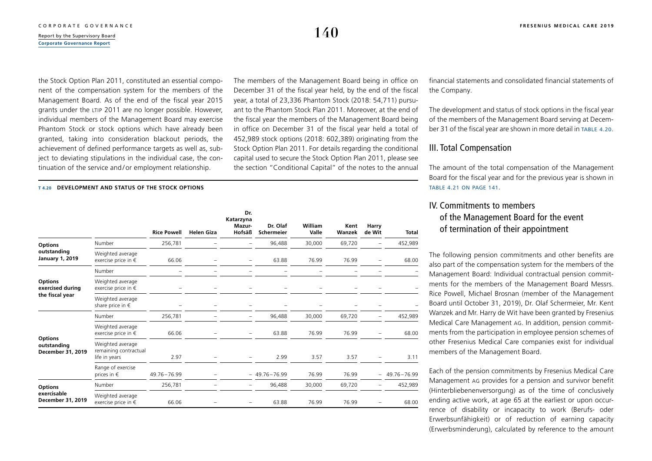the Stock Option Plan 2011, constituted an essential component of the compensation system for the members of the Management Board. As of the end of the fiscal year 2015 grants under the LTIP 2011 are no longer possible. However, individual members of the Management Board may exercise Phantom Stock or stock options which have already been granted, taking into consideration blackout periods, the achievement of defined performance targets as well as, subject to deviating stipulations in the individual case, the continuation of the service and / or employment relationship.

The members of the Management Board being in office on December 31 of the fiscal year held, by the end of the fiscal year, a total of 23,336 Phantom Stock (2018: 54,711) pursuant to the Phantom Stock Plan 2011. Moreover, at the end of the fiscal year the members of the Management Board being in office on December 31 of the fiscal year held a total of 452,989 stock options (2018: 602,389) originating from the Stock Option Plan 2011. For details regarding the conditional capital used to secure the Stock Option Plan 2011, please see the section "Conditional Capital" of the notes to the annual

### **T 4.20 DEVELOPMENT AND STATUS OF THE STOCK OPTIONS**

|                                                    |                                                            | <b>Rice Powell</b> | <b>Helen Giza</b> | Dr.<br>Katarzyna<br>Mazur-<br>Hofsäß | Dr. Olaf<br><b>Schermeier</b> | William<br>Valle | Kent<br>Wanzek | Harry<br>de Wit | Total       |
|----------------------------------------------------|------------------------------------------------------------|--------------------|-------------------|--------------------------------------|-------------------------------|------------------|----------------|-----------------|-------------|
| <b>Options</b>                                     | Number                                                     | 256,781            |                   |                                      | 96,488                        | 30,000           | 69,720         |                 | 452,989     |
| outstanding<br><b>January 1, 2019</b>              | Weighted average<br>exercise price in $\epsilon$           | 66.06              |                   |                                      | 63.88                         | 76.99            | 76.99          |                 | 68.00       |
|                                                    | Number                                                     |                    |                   |                                      |                               |                  |                |                 |             |
| <b>Options</b><br>exercised during                 | Weighted average<br>exercise price in $\epsilon$           |                    |                   |                                      |                               |                  |                |                 |             |
| the fiscal year                                    | Weighted average<br>share price in $\epsilon$              |                    |                   |                                      |                               |                  |                |                 |             |
|                                                    | Number                                                     | 256,781            |                   |                                      | 96,488                        | 30,000           | 69,720         |                 | 452,989     |
|                                                    | Weighted average<br>exercise price in $\epsilon$           | 66.06              |                   | -                                    | 63.88                         | 76.99            | 76.99          |                 | 68.00       |
| <b>Options</b><br>outstanding<br>December 31, 2019 | Weighted average<br>remaining contractual<br>life in years | 2.97               |                   |                                      | 2.99                          | 3.57             | 3.57           |                 | 3.11        |
|                                                    | Range of exercise<br>prices in $\epsilon$                  | $49.76 - 76.99$    |                   |                                      | $-49.76 - 76.99$              | 76.99            | 76.99          | -               | 49.76-76.99 |
| <b>Options</b>                                     | Number                                                     | 256,781            |                   |                                      | 96,488                        | 30,000           | 69,720         |                 | 452,989     |
| exercisable<br>December 31, 2019                   | Weighted average<br>exercise price in $\epsilon$           | 66.06              |                   |                                      | 63.88                         | 76.99            | 76.99          |                 | 68.00       |

financial statements and consolidated financial statements of the Company.

The development and status of stock options in the fiscal year of the members of the Management Board serving at December 31 of the fiscal year are shown in more detail in TABLE 4.20.

## III. Total Compensation

The amount of the total compensation of the Management Board for the fiscal year and for the previous year is shown in [table 4.21 on page 141](#page-24-0).

## IV. Commitments to members of the Management Board for the event of termination of their appointment

The following pension commitments and other benefits are also part of the compensation system for the members of the Management Board: Individual contractual pension commitments for the members of the Management Board Messrs. Rice Powell, Michael Brosnan (member of the Management Board until October 31, 2019), Dr. Olaf Schermeier, Mr. Kent Wanzek and Mr. Harry de Wit have been granted by Fresenius Medical Care Management AG. In addition, pension commitments from the participation in employee pension schemes of other Fresenius Medical Care companies exist for individual members of the Management Board.

Each of the pension commitments by Fresenius Medical Care Management AG provides for a pension and survivor benefit (Hinterbliebenenversorgung) as of the time of conclusively ending active work, at age 65 at the earliest or upon occurrence of disability or incapacity to work (Berufs- oder Erwerbsunfähigkeit) or of reduction of earning capacity (Erwerbsminderung), calculated by reference to the amount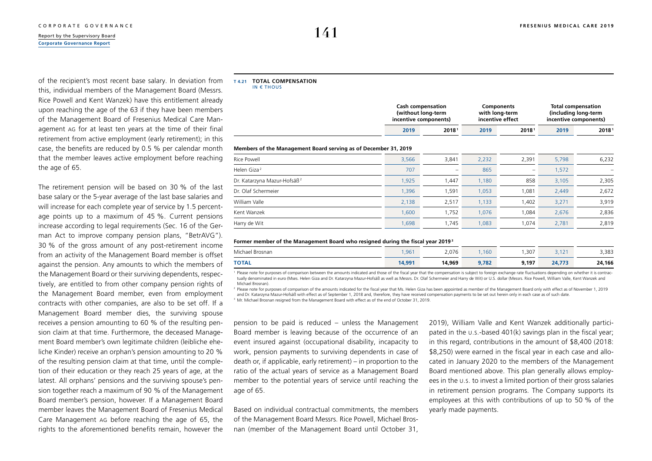## <span id="page-24-0"></span>[Report by the Supervisory Board](#page--1-0) **141 [Corporate Governance Report](#page-1-0)**

of the recipient's most recent base salary. In deviation from this, individual members of the Management Board (Messrs. Rice Powell and Kent Wanzek) have this entitlement already upon reaching the age of the 63 if they have been members of the Management Board of Fresenius Medical Care Management AG for at least ten years at the time of their final retirement from active employment (early retirement); in this case, the benefits are reduced by 0.5 % per calendar month that the member leaves active employment before reaching the age of 65.

The retirement pension will be based on 30 % of the last base salary or the 5-year average of the last base salaries and will increase for each complete year of service by 1.5 percentage points up to a maximum of 45 %. Current pensions increase according to legal requirements (Sec. 16 of the German Act to improve company pension plans, "BetrAVG"). 30 % of the gross amount of any post-retirement income from an activity of the Management Board member is offset against the pension. Any amounts to which the members of the Management Board or their surviving dependents, respectively, are entitled to from other company pension rights of the Management Board member, even from employment contracts with other companies, are also to be set off. If a Management Board member dies, the surviving spouse receives a pension amounting to 60 % of the resulting pension claim at that time. Furthermore, the deceased Management Board member's own legitimate children (leibliche eheliche Kinder) receive an orphan's pension amounting to 20 % of the resulting pension claim at that time, until the completion of their education or they reach 25 years of age, at the latest. All orphans' pensions and the surviving spouse's pension together reach a maximum of 90 % of the Management Board member's pension, however. If a Management Board member leaves the Management Board of Fresenius Medical Care Management AG before reaching the age of 65, the rights to the aforementioned benefits remain, however the

### **T 4.21 TOTAL COMPENSATION**

IN  $\epsilon$  THOUS

| <b>Cash compensation</b> |       | <b>Components</b> |       | Total compensation    |  |
|--------------------------|-------|-------------------|-------|-----------------------|--|
| (without long-term       |       | with long-term    |       | (including long-term) |  |
| incentive components)    |       | incentive effect  |       | incentive components) |  |
| 2019                     | 20181 | 2019              | 20181 | 2019                  |  |

### **Members of the Management Board serving as of December 31, 2019**

| 3,566 | 3,841                    | 2,232 | 2,391 | 5,798 | 6,232 |
|-------|--------------------------|-------|-------|-------|-------|
| 707   | $\overline{\phantom{0}}$ | 865   | -     | 1,572 |       |
| 1,925 | 1,447                    | 1,180 | 858   | 3,105 | 2,305 |
| 1,396 | 1.591                    | 1,053 | 1,081 | 2,449 | 2,672 |
| 2,138 | 2,517                    | 1,133 | 1,402 | 3,271 | 3,919 |
| 1,600 | 1,752                    | 1,076 | 1.084 | 2,676 | 2,836 |
| 1,698 | 1,745                    | 1,083 | 1.074 | 2,781 | 2,819 |
|       |                          |       |       |       |       |

### **Former member of the Management Board who resigned during the fiscal year 2019 <sup>3</sup>**

| Michael Brosnan | ,961   | 2,076  | ,160  | ,307  | 121<br><u>.</u> | 3,383  |
|-----------------|--------|--------|-------|-------|-----------------|--------|
| <b>TOTAL</b>    | 14,991 | 14,969 | 9,782 | 9,197 | 24,773          | 24,166 |

<sup>1</sup> Please note for purposes of comparison between the amounts indicated and those of the fiscal year that the compensation is subject to foreign exchange rate fluctuations depending on whether it is contractually denominated in euro (Mses. Helen Giza and Dr. Katarzyna Mazur-Hofsäß as well as Messrs. Dr. Olaf Schermeier and Harry de Wit) or U.S. dollar (Messrs. Rice Powell, William Valle, Kent Wanzek and Michael Brosnan).

2 Please note for purposes of comparison of the amounts indicated for the fiscal year that Ms. Helen Giza has been appointed as member of the Management Board only with effect as of November 1, 2019 and Dr. Katarzyna Mazur-Hofsäß with effect as of September 1, 2018 and, therefore, they have received compensation payments to be set out herein only in each case as of such date.

3 Mr. Michael Brosnan resigned from the Management Board with effect as of the end of October 31, 2019.

pension to be paid is reduced – unless the Management Board member is leaving because of the occurrence of an event insured against (occupational disability, incapacity to work, pension payments to surviving dependents in case of death or, if applicable, early retirement) – in proportion to the ratio of the actual years of service as a Management Board member to the potential years of service until reaching the age of 65.

Based on individual contractual commitments, the members of the Management Board Messrs. Rice Powell, Michael Brosnan (member of the Management Board until October 31, 2019), William Valle and Kent Wanzek additionally participated in the U.S.-based 401(k) savings plan in the fiscal year; in this regard, contributions in the amount of \$8,400 (2018: \$8,250) were earned in the fiscal year in each case and allocated in January 2020 to the members of the Management Board mentioned above. This plan generally allows employees in the U.S. to invest a limited portion of their gross salaries in retirement pension programs. The Company supports its employees at this with contributions of up to 50 % of the yearly made payments.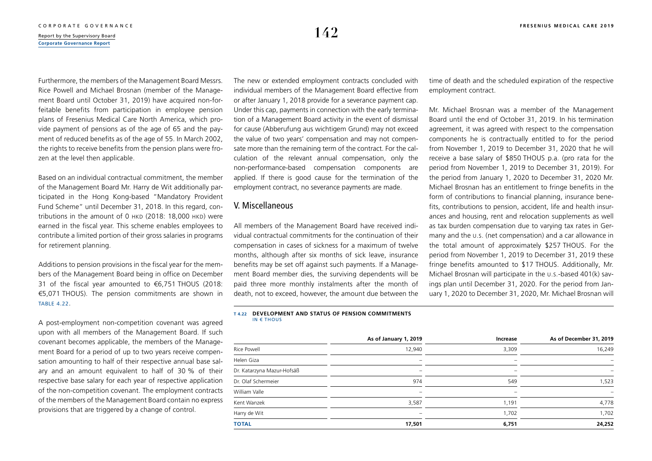Furthermore, the members of the Management Board Messrs. Rice Powell and Michael Brosnan (member of the Management Board until October 31, 2019) have acquired non-forfeitable benefits from participation in employee pension plans of Fresenius Medical Care North America, which provide payment of pensions as of the age of 65 and the payment of reduced benefits as of the age of 55. In March 2002, the rights to receive benefits from the pension plans were frozen at the level then applicable.

Based on an individual contractual commitment, the member of the Management Board Mr. Harry de Wit additionally participated in the Hong Kong-based "Mandatory Provident Fund Scheme" until December 31, 2018. In this regard, contributions in the amount of 0 HKD (2018: 18,000 HKD) were earned in the fiscal year. This scheme enables employees to contribute a limited portion of their gross salaries in programs for retirement planning.

Additions to pension provisions in the fiscal year for the members of the Management Board being in office on December 31 of the fiscal year amounted to €6,751 THOUS (2018: €5,071 THOUS). The pension commitments are shown in table 4.22.

A post-employment non-competition covenant was agreed upon with all members of the Management Board. If such covenant becomes applicable, the members of the Management Board for a period of up to two years receive compensation amounting to half of their respective annual base salary and an amount equivalent to half of 30 % of their respective base salary for each year of respective application of the non-competition covenant. The employment contracts of the members of the Management Board contain no express provisions that are triggered by a change of control.

The new or extended employment contracts concluded with individual members of the Management Board effective from or after January 1, 2018 provide for a severance payment cap. Under this cap, payments in connection with the early termination of a Management Board activity in the event of dismissal for cause (Abberufung aus wichtigem Grund) may not exceed the value of two years' compensation and may not compensate more than the remaining term of the contract. For the calculation of the relevant annual compensation, only the non-performance-based compensation components are applied. If there is good cause for the termination of the employment contract, no severance payments are made.

## V. Miscellaneous

All members of the Management Board have received individual contractual commitments for the continuation of their compensation in cases of sickness for a maximum of twelve months, although after six months of sick leave, insurance benefits may be set off against such payments. If a Management Board member dies, the surviving dependents will be paid three more monthly instalments after the month of death, not to exceed, however, the amount due between the

### **T 4.22 DEVELOPMENT AND STATUS OF PENSION COMMITMENTS** IN € THOUS

|                            | As of January 1, 2019    | Increase                 | As of December 31, 2019 |
|----------------------------|--------------------------|--------------------------|-------------------------|
| Rice Powell                | 12,940                   | 3,309                    | 16,249                  |
| Helen Giza                 | $\overline{\phantom{m}}$ | $\qquad \qquad$          | -                       |
| Dr. Katarzyna Mazur-Hofsäß | $\overline{\phantom{a}}$ | $\overline{\phantom{a}}$ | -                       |
| Dr. Olaf Schermeier        | 974                      | 549                      | 1,523                   |
| William Valle              | $\overline{\phantom{a}}$ | -                        | -                       |
| Kent Wanzek                | 3,587                    | 1,191                    | 4,778                   |
| Harry de Wit               | $\overline{\phantom{a}}$ | 1,702                    | 1,702                   |
| <b>TOTAL</b>               | 17,501                   | 6,751                    | 24,252                  |

time of death and the scheduled expiration of the respective employment contract.

Mr. Michael Brosnan was a member of the Management Board until the end of October 31, 2019. In his termination agreement, it was agreed with respect to the compensation components he is contractually entitled to for the period from November 1, 2019 to December 31, 2020 that he will receive a base salary of \$850 THOUS p.a. (pro rata for the period from November 1, 2019 to December 31, 2019). For the period from January 1, 2020 to December 31, 2020 Mr. Michael Brosnan has an entitlement to fringe benefits in the form of contributions to financial planning, insurance benefits, contributions to pension, accident, life and health insurances and housing, rent and relocation supplements as well as tax burden compensation due to varying tax rates in Germany and the U.S. (net compensation) and a car allowance in the total amount of approximately \$257 THOUS. For the period from November 1, 2019 to December 31, 2019 these fringe benefits amounted to \$17 THOUS. Additionally, Mr. Michael Brosnan will participate in the U.S.-based 401(k) savings plan until December 31, 2020. For the period from January 1, 2020 to December 31, 2020, Mr. Michael Brosnan will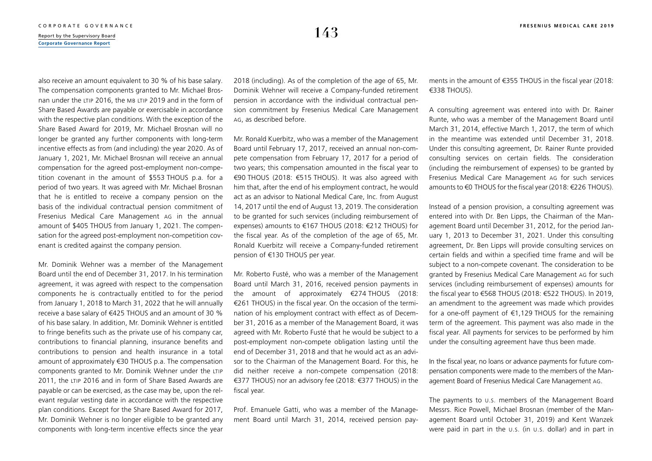**[Corporate Governance Report](#page-1-0)**

also receive an amount equivalent to 30 % of his base salary. The compensation components granted to Mr. Michael Brosnan under the LTIP 2016, the MB LTIP 2019 and in the form of Share Based Awards are payable or exercisable in accordance with the respective plan conditions. With the exception of the Share Based Award for 2019, Mr. Michael Brosnan will no longer be granted any further components with long-term incentive effects as from (and including) the year 2020. As of January 1, 2021, Mr. Michael Brosnan will receive an annual compensation for the agreed post-employment non-competition covenant in the amount of \$553 THOUS p.a. for a period of two years. It was agreed with Mr. Michael Brosnan that he is entitled to receive a company pension on the basis of the individual contractual pension commitment of Fresenius Medical Care Management AG in the annual amount of \$405 THOUS from January 1, 2021. The compensation for the agreed post-employment non-competition covenant is credited against the company pension.

Mr. Dominik Wehner was a member of the Management Board until the end of December 31, 2017. In his termination agreement, it was agreed with respect to the compensation components he is contractually entitled to for the period from January 1, 2018 to March 31, 2022 that he will annually receive a base salary of €425 THOUS and an amount of 30 % of his base salary. In addition, Mr. Dominik Wehner is entitled to fringe benefits such as the private use of his company car, contributions to financial planning, insurance benefits and contributions to pension and health insurance in a total amount of approximately €30 THOUS p.a. The compensation components granted to Mr. Dominik Wehner under the LTIP 2011, the LTIP 2016 and in form of Share Based Awards are payable or can be exercised, as the case may be, upon the relevant regular vesting date in accordance with the respective plan conditions. Except for the Share Based Award for 2017, Mr. Dominik Wehner is no longer eligible to be granted any components with long-term incentive effects since the year

2018 (including). As of the completion of the age of 65, Mr. Dominik Wehner will receive a Company-funded retirement pension in accordance with the individual contractual pension commitment by Fresenius Medical Care Management AG, as described before.

Mr. Ronald Kuerbitz, who was a member of the Management Board until February 17, 2017, received an annual non-compete compensation from February 17, 2017 for a period of two years; this compensation amounted in the fiscal year to €90 THOUS (2018: €515 THOUS). It was also agreed with him that, after the end of his employment contract, he would act as an advisor to National Medical Care, Inc. from August 14, 2017 until the end of August 13, 2019. The consideration to be granted for such services (including reimbursement of expenses) amounts to €167 THOUS (2018: €212 THOUS) for the fiscal year. As of the completion of the age of 65, Mr. Ronald Kuerbitz will receive a Company-funded retirement pension of €130 THOUS per year.

Mr. Roberto Fusté, who was a member of the Management Board until March 31, 2016, received pension payments in the amount of approximately €274 THOUS (2018: €261 THOUS) in the fiscal year. On the occasion of the termination of his employment contract with effect as of December 31, 2016 as a member of the Management Board, it was agreed with Mr. Roberto Fusté that he would be subject to a post-employment non-compete obligation lasting until the end of December 31, 2018 and that he would act as an advisor to the Chairman of the Management Board. For this, he did neither receive a non-compete compensation (2018: €377 THOUS) nor an advisory fee (2018: €377 THOUS) in the fiscal year.

Prof. Emanuele Gatti, who was a member of the Management Board until March 31, 2014, received pension payments in the amount of €355 THOUS in the fiscal year (2018: €338 THOUS).

A consulting agreement was entered into with Dr. Rainer Runte, who was a member of the Management Board until March 31, 2014, effective March 1, 2017, the term of which in the meantime was extended until December 31, 2018. Under this consulting agreement, Dr. Rainer Runte provided consulting services on certain fields. The consideration (including the reimbursement of expenses) to be granted by Fresenius Medical Care Management AG for such services amounts to €0 THOUS for the fiscal year (2018: €226 THOUS).

Instead of a pension provision, a consulting agreement was entered into with Dr. Ben Lipps, the Chairman of the Management Board until December 31, 2012, for the period January 1, 2013 to December 31, 2021. Under this consulting agreement, Dr. Ben Lipps will provide consulting services on certain fields and within a specified time frame and will be subject to a non-compete covenant. The consideration to be granted by Fresenius Medical Care Management AG for such services (including reimbursement of expenses) amounts for the fiscal year to €568 THOUS (2018: €522 THOUS). In 2019, an amendment to the agreement was made which provides for a one-off payment of  $\epsilon$ 1,129 THOUS for the remaining term of the agreement. This payment was also made in the fiscal year. All payments for services to be performed by him under the consulting agreement have thus been made.

In the fiscal year, no loans or advance payments for future compensation components were made to the members of the Management Board of Fresenius Medical Care Management AG.

The payments to U.S. members of the Management Board Messrs. Rice Powell, Michael Brosnan (member of the Management Board until October 31, 2019) and Kent Wanzek were paid in part in the U.S. (in U.S. dollar) and in part in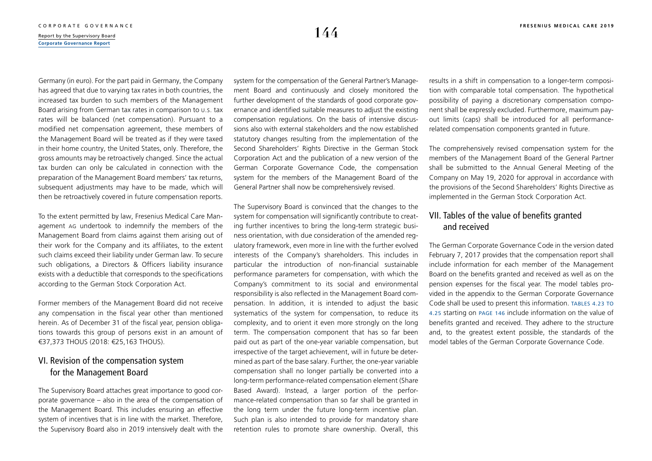Germany (in euro). For the part paid in Germany, the Company has agreed that due to varying tax rates in both countries, the increased tax burden to such members of the Management Board arising from German tax rates in comparison to U.S. tax rates will be balanced (net compensation). Pursuant to a modified net compensation agreement, these members of the Management Board will be treated as if they were taxed in their home country, the United States, only. Therefore, the gross amounts may be retroactively changed. Since the actual tax burden can only be calculated in connection with the preparation of the Management Board members' tax returns, subsequent adjustments may have to be made, which will then be retroactively covered in future compensation reports.

To the extent permitted by law, Fresenius Medical Care Management AG undertook to indemnify the members of the Management Board from claims against them arising out of their work for the Company and its affiliates, to the extent such claims exceed their liability under German law. To secure such obligations, a Directors & Officers liability insurance exists with a deductible that corresponds to the specifications according to the German Stock Corporation Act.

Former members of the Management Board did not receive any compensation in the fiscal year other than mentioned herein. As of December 31 of the fiscal year, pension obligations towards this group of persons exist in an amount of €37,373 THOUS (2018: €25,163 THOUS).

## VI. Revision of the compensation system for the Management Board

The Supervisory Board attaches great importance to good corporate governance – also in the area of the compensation of the Management Board. This includes ensuring an effective system of incentives that is in line with the market. Therefore, the Supervisory Board also in 2019 intensively dealt with the system for the compensation of the General Partner's Management Board and continuously and closely monitored the further development of the standards of good corporate governance and identified suitable measures to adjust the existing compensation regulations. On the basis of intensive discussions also with external stakeholders and the now established statutory changes resulting from the implementation of the Second Shareholders' Rights Directive in the German Stock Corporation Act and the publication of a new version of the German Corporate Governance Code, the compensation system for the members of the Management Board of the General Partner shall now be comprehensively revised.

The Supervisory Board is convinced that the changes to the system for compensation will significantly contribute to creating further incentives to bring the long-term strategic business orientation, with due consideration of the amended regulatory framework, even more in line with the further evolved interests of the Company's shareholders. This includes in particular the introduction of non-financial sustainable performance parameters for compensation, with which the Company's commitment to its social and environmental responsibility is also reflected in the Management Board compensation. In addition, it is intended to adjust the basic systematics of the system for compensation, to reduce its complexity, and to orient it even more strongly on the long term. The compensation component that has so far been paid out as part of the one-year variable compensation, but irrespective of the target achievement, will in future be determined as part of the base salary. Further, the one-year variable compensation shall no longer partially be converted into a long-term performance-related compensation element (Share Based Award). Instead, a larger portion of the performance-related compensation than so far shall be granted in the long term under the future long-term incentive plan. Such plan is also intended to provide for mandatory share retention rules to promote share ownership. Overall, this results in a shift in compensation to a longer-term composition with comparable total compensation. The hypothetical possibility of paying a discretionary compensation component shall be expressly excluded. Furthermore, maximum payout limits (caps) shall be introduced for all performancerelated compensation components granted in future.

The comprehensively revised compensation system for the members of the Management Board of the General Partner shall be submitted to the Annual General Meeting of the Company on May 19, 2020 for approval in accordance with the provisions of the Second Shareholders' Rights Directive as implemented in the German Stock Corporation Act.

## VII. Tables of the value of benefits granted and received

The German Corporate Governance Code in the version dated February 7, 2017 provides that the compensation report shall include information for each member of the Management Board on the benefits granted and received as well as on the pension expenses for the fiscal year. The model tables provided in the appendix to the German Corporate Governance Code shall be used to present this information. [Tables 4.23](#page-29-0) [to](#page-32-0) [4.25](#page-32-0) starting on [page 146](#page-29-0) include information on the value of benefits granted and received. They adhere to the structure and, to the greatest extent possible, the standards of the model tables of the German Corporate Governance Code.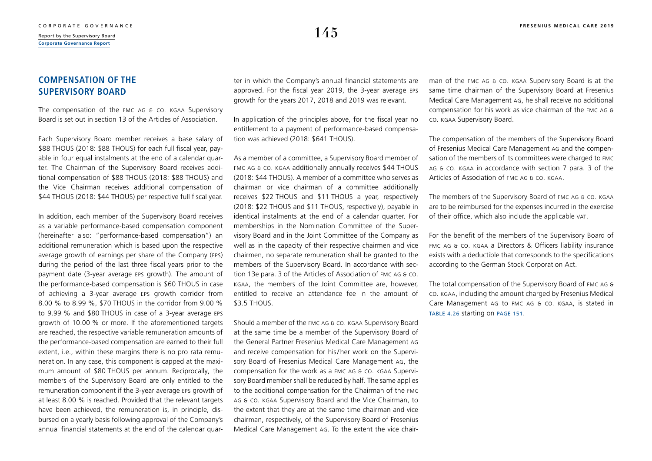## **COMPENSATION OF THE SUPERVISORY BOARD**

The compensation of the FMC AG & Co. KGaA Supervisory Board is set out in section 13 of the Articles of Association.

Each Supervisory Board member receives a base salary of \$88 THOUS (2018: \$88 THOUS) for each full fiscal year, payable in four equal instalments at the end of a calendar quarter. The Chairman of the Supervisory Board receives additional compensation of \$88 THOUS (2018: \$88 THOUS) and the Vice Chairman receives additional compensation of \$44 THOUS (2018: \$44 THOUS) per respective full fiscal year.

In addition, each member of the Supervisory Board receives as a variable performance-based compensation component (hereinafter also: "performance-based compensation") an additional remuneration which is based upon the respective average growth of earnings per share of the Company (EPS) during the period of the last three fiscal years prior to the payment date (3-year average EPS growth). The amount of the performance-based compensation is \$60 THOUS in case of achieving a 3-year average EPS growth corridor from 8.00 % to 8.99 %, \$70 THOUS in the corridor from 9.00 % to 9.99 % and \$80 THOUS in case of a 3-year average EPS growth of 10.00 % or more. If the aforementioned targets are reached, the respective variable remuneration amounts of the performance-based compensation are earned to their full extent, i.e., within these margins there is no pro rata remuneration. In any case, this component is capped at the maximum amount of \$80 THOUS per annum. Reciprocally, the members of the Supervisory Board are only entitled to the remuneration component if the 3-year average EPS growth of at least 8.00 % is reached. Provided that the relevant targets have been achieved, the remuneration is, in principle, disbursed on a yearly basis following approval of the Company's annual financial statements at the end of the calendar quarter in which the Company's annual financial statements are approved. For the fiscal year 2019, the 3-year average EPS growth for the years 2017, 2018 and 2019 was relevant.

In application of the principles above, for the fiscal year no entitlement to a payment of performance-based compensation was achieved (2018: \$641 THOUS).

As a member of a committee, a Supervisory Board member of FMC AG & Co. KGaA additionally annually receives \$44 THOUS (2018: \$44 THOUS). A member of a committee who serves as chairman or vice chairman of a committee additionally receives \$22 THOUS and \$11 THOUS a year, respectively (2018: \$22 THOUS and \$11 THOUS, respectively), payable in identical instalments at the end of a calendar quarter. For memberships in the Nomination Committee of the Supervisory Board and in the Joint Committee of the Company as well as in the capacity of their respective chairmen and vice chairmen, no separate remuneration shall be granted to the members of the Supervisory Board. In accordance with section 13e para. 3 of the Articles of Association of FMC AG & Co. KGaA, the members of the Joint Committee are, however, entitled to receive an attendance fee in the amount of \$3.5 THOUS.

Should a member of the FMC AG & Co. KGaA Supervisory Board at the same time be a member of the Supervisory Board of the General Partner Fresenius Medical Care Management AG and receive compensation for his/ her work on the Supervisory Board of Fresenius Medical Care Management AG, the compensation for the work as a FMC AG & Co. KGaA Supervisory Board member shall be reduced by half. The same applies to the additional compensation for the Chairman of the FMC AG & Co. KGaA Supervisory Board and the Vice Chairman, to the extent that they are at the same time chairman and vice chairman, respectively, of the Supervisory Board of Fresenius Medical Care Management AG. To the extent the vice chairman of the FMC AG & Co. KGaA Supervisory Board is at the same time chairman of the Supervisory Board at Fresenius Medical Care Management AG, he shall receive no additional compensation for his work as vice chairman of the FMC AG & Co. KGaA Supervisory Board.

The compensation of the members of the Supervisory Board of Fresenius Medical Care Management AG and the compensation of the members of its committees were charged to FMC AG & Co. KGaA in accordance with section 7 para. 3 of the Articles of Association of FMC AG & Co. KGaA.

The members of the Supervisory Board of FMC AG & Co. KGaA are to be reimbursed for the expenses incurred in the exercise of their office, which also include the applicable VAT.

For the benefit of the members of the Supervisory Board of FMC AG & CO. KGAA a Directors & Officers liability insurance exists with a deductible that corresponds to the specifications according to the German Stock Corporation Act.

The total compensation of the Supervisory Board of FMC AG & Co. KGaA, including the amount charged by Fresenius Medical Care Management AG to FMC AG & Co. KGaA, is stated in [table](#page-34-0) 4.26 starting on [page 151](#page-34-0).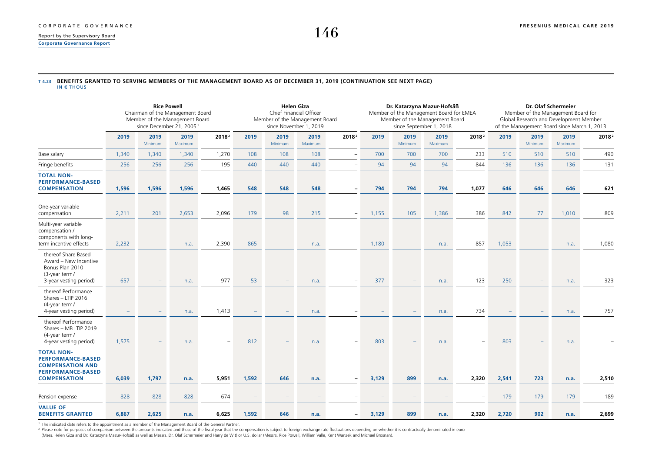<span id="page-29-0"></span>**[Corporate Governance Report](#page-1-0)**

## **T 4.23 BENEFITS GRANTED TO SERVING MEMBERS OF THE MANAGEMENT BOARD AS OF DECEMBER 31, 2019 (CONTINUATION SEE NEXT PAGE)**

IN € THOUS

|                                                                                                                             | <b>Rice Powell</b><br>Chairman of the Management Board<br>Member of the Management Board<br>since December 21, 2005 <sup>1</sup> |                 |                 | <b>Helen Giza</b><br>Chief Financial Officer<br>Member of the Management Board<br>since November 1, 2019 |                          |                          | Dr. Katarzyna Mazur-Hofsäß<br>Member of the Management Board for EMEA<br>Member of the Management Board<br>since September 1, 2018 |                          |       |                 | Dr. Olaf Schermeier<br>Member of the Management Board for<br>Global Research and Development Member<br>of the Management Board since March 1, 2013 |                   |       |                 |                 |                   |
|-----------------------------------------------------------------------------------------------------------------------------|----------------------------------------------------------------------------------------------------------------------------------|-----------------|-----------------|----------------------------------------------------------------------------------------------------------|--------------------------|--------------------------|------------------------------------------------------------------------------------------------------------------------------------|--------------------------|-------|-----------------|----------------------------------------------------------------------------------------------------------------------------------------------------|-------------------|-------|-----------------|-----------------|-------------------|
|                                                                                                                             | 2019                                                                                                                             | 2019<br>Minimum | 2019<br>Maximum | 2018 <sup>2</sup>                                                                                        | 2019                     | 2019<br>Minimum          | 2019<br>Maximum                                                                                                                    | 2018 <sup>2</sup>        | 2019  | 2019<br>Minimum | 2019<br>Maximum                                                                                                                                    | 2018 <sup>2</sup> | 2019  | 2019<br>Minimum | 2019<br>Maximum | 2018 <sup>2</sup> |
| Base salary                                                                                                                 | 1,340                                                                                                                            | 1,340           | 1,340           | 1,270                                                                                                    | 108                      | 108                      | 108                                                                                                                                | ÷                        | 700   | 700             | 700                                                                                                                                                | 233               | 510   | 510             | 510             | 490               |
| Fringe benefits                                                                                                             | 256                                                                                                                              | 256             | 256             | 195                                                                                                      | 440                      | 440                      | 440                                                                                                                                |                          | 94    | 94              | 94                                                                                                                                                 | 844               | 136   | 136             | 136             | 131               |
| <b>TOTAL NON-</b><br><b>PERFORMANCE-BASED</b><br><b>COMPENSATION</b>                                                        | 1,596                                                                                                                            | 1,596           | 1,596           | 1,465                                                                                                    | 548                      | 548                      | 548                                                                                                                                | $\equiv$                 | 794   | 794             | 794                                                                                                                                                | 1,077             | 646   | 646             | 646             | 621               |
| One-year variable<br>compensation                                                                                           | 2,211                                                                                                                            | 201             | 2,653           | 2,096                                                                                                    | 179                      | 98                       | 215                                                                                                                                | $\overline{\phantom{a}}$ | 1,155 | 105             | 1,386                                                                                                                                              | 386               | 842   | 77              | 1,010           | 809               |
| Multi-year variable<br>compensation /<br>components with long-<br>term incentive effects                                    | 2,232                                                                                                                            |                 | n.a.            | 2,390                                                                                                    | 865                      | $\overline{\phantom{a}}$ | n.a.                                                                                                                               | $\overline{\phantom{m}}$ | 1,180 |                 | n.a.                                                                                                                                               | 857               | 1,053 |                 | n.a.            | 1,080             |
| thereof Share Based<br>Award - New Incentive<br>Bonus Plan 2010<br>(3-year term/<br>3-year vesting period)                  | 657                                                                                                                              |                 | n.a.            | 977                                                                                                      | 53                       | $\overline{\phantom{0}}$ | n.a.                                                                                                                               |                          | 377   |                 | n.a.                                                                                                                                               | 123               | 250   |                 | n.a.            | 323               |
| thereof Performance<br>Shares - LTIP 2016<br>(4-year term/<br>4-year vesting period)                                        |                                                                                                                                  |                 | n.a.            | 1,413                                                                                                    |                          |                          | n.a.                                                                                                                               |                          |       |                 | n.a.                                                                                                                                               | 734               |       |                 | n.a.            | 757               |
| thereof Performance<br>Shares - MB LTIP 2019<br>(4-year term/<br>4-year vesting period)                                     | 1,575                                                                                                                            |                 | n.a.            | $\overline{\phantom{a}}$                                                                                 | 812                      | $\overline{\phantom{m}}$ | n.a.                                                                                                                               |                          | 803   |                 | n.a.                                                                                                                                               | ٠                 | 803   |                 | n.a.            |                   |
| <b>TOTAL NON-</b><br><b>PERFORMANCE-BASED</b><br><b>COMPENSATION AND</b><br><b>PERFORMANCE-BASED</b><br><b>COMPENSATION</b> | 6,039                                                                                                                            | 1,797           | n.a.            | 5,951                                                                                                    | 1,592                    | 646                      | n.a.                                                                                                                               | $\overline{\phantom{0}}$ | 3,129 | 899             | n.a.                                                                                                                                               | 2,320             | 2,541 | 723             | n.a.            | 2,510             |
| Pension expense                                                                                                             | 828                                                                                                                              | 828             | 828             | 674                                                                                                      | $\overline{\phantom{a}}$ |                          |                                                                                                                                    |                          |       |                 |                                                                                                                                                    |                   | 179   | 179             | 179             | 189               |
| <b>VALUE OF</b><br><b>BENEFITS GRANTED</b>                                                                                  | 6,867                                                                                                                            | 2,625           | n.a.            | 6,625                                                                                                    | 1,592                    | 646                      | n.a.                                                                                                                               | $\overline{\phantom{0}}$ | 3,129 | 899             | n.a.                                                                                                                                               | 2,320             | 2,720 | 902             | n.a.            | 2,699             |

1 The indicated date refers to the appointment as a member of the Management Board of the General Partner.

<sup>2</sup> Please note for purposes of comparison between the amounts indicated and those of the fiscal year that the compensation is subject to foreign exchange rate fluctuations depending on whether it is contractually denomina

(Mses. Helen Giza and Dr. Katarzyna Mazur-Hofsäß as well as Messrs. Dr. Olaf Schermeier and Harry de Wit) or U.S. dollar (Messrs. Rice Powell, William Valle, Kent Wanzek and Michael Brosnan).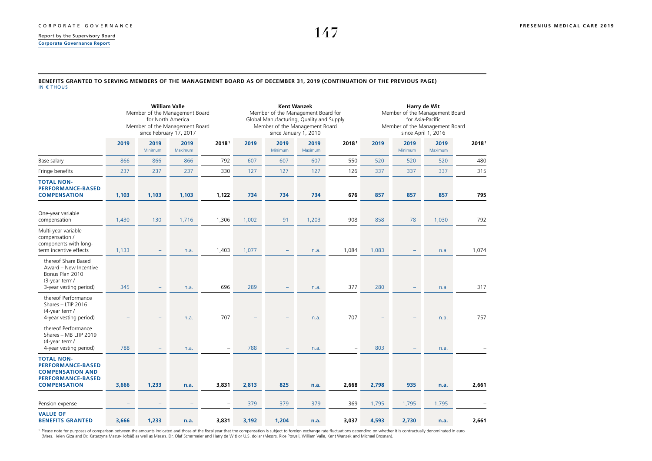**[Corporate Governance Report](#page-1-0)**

### **BENEFITS GRANTED TO SERVING MEMBERS OF THE MANAGEMENT BOARD AS OF DECEMBER 31, 2019 (CONTINUATION OF THE PREVIOUS PAGE)** IN € THOUS

|                                                                                                                             | <b>William Valle</b><br>Member of the Management Board<br>for North America<br>Member of the Management Board<br>since February 17, 2017 |                          |                 |                   |       |                 | <b>Kent Wanzek</b><br>Member of the Management Board for<br>Global Manufacturing, Quality and Supply<br>Member of the Management Board<br>since January 1, 2010 |                   | Harry de Wit<br>Member of the Management Board<br>for Asia-Pacific<br>Member of the Management Board<br>since April 1, 2016 |                          |                 |       |
|-----------------------------------------------------------------------------------------------------------------------------|------------------------------------------------------------------------------------------------------------------------------------------|--------------------------|-----------------|-------------------|-------|-----------------|-----------------------------------------------------------------------------------------------------------------------------------------------------------------|-------------------|-----------------------------------------------------------------------------------------------------------------------------|--------------------------|-----------------|-------|
|                                                                                                                             | 2019                                                                                                                                     | 2019<br>Minimum          | 2019<br>Maximum | 20181             | 2019  | 2019<br>Minimum | 2019<br>Maximum                                                                                                                                                 | 20181             | 2019                                                                                                                        | 2019<br>Minimum          | 2019<br>Maximum | 20181 |
| Base salary                                                                                                                 | 866                                                                                                                                      | 866                      | 866             | 792               | 607   | 607             | 607                                                                                                                                                             | 550               | 520                                                                                                                         | 520                      | 520             | 480   |
| Fringe benefits                                                                                                             | 237                                                                                                                                      | 237                      | 237             | 330               | 127   | 127             | 127                                                                                                                                                             | 126               | 337                                                                                                                         | 337                      | 337             | 315   |
| <b>TOTAL NON-</b><br><b>PERFORMANCE-BASED</b><br><b>COMPENSATION</b>                                                        | 1,103                                                                                                                                    | 1,103                    | 1,103           | 1,122             | 734   | 734             | 734                                                                                                                                                             | 676               | 857                                                                                                                         | 857                      | 857             | 795   |
| One-year variable<br>compensation                                                                                           | 1,430                                                                                                                                    | 130                      | 1,716           | 1,306             | 1,002 | 91              | 1,203                                                                                                                                                           | 908               | 858                                                                                                                         | 78                       | 1,030           | 792   |
| Multi-year variable<br>compensation /<br>components with long-<br>term incentive effects                                    | 1,133                                                                                                                                    | -                        | n.a.            | 1,403             | 1,077 |                 | n.a.                                                                                                                                                            | 1,084             | 1,083                                                                                                                       | ۳                        | n.a.            | 1,074 |
| thereof Share Based<br>Award - New Incentive<br>Bonus Plan 2010<br>(3-year term/<br>3-year vesting period)                  | 345                                                                                                                                      |                          | n.a.            | 696               | 289   |                 | n.a.                                                                                                                                                            | 377               | 280                                                                                                                         |                          | n.a.            | 317   |
| thereof Performance<br>Shares - LTIP 2016<br>(4-year term/<br>4-year vesting period)                                        |                                                                                                                                          | -                        | n.a.            | 707               |       | -               | n.a.                                                                                                                                                            | 707               |                                                                                                                             | $\overline{\phantom{0}}$ | n.a.            | 757   |
| thereof Performance<br>Shares - MB LTIP 2019<br>(4-year term/<br>4-year vesting period)                                     | 788                                                                                                                                      | $\overline{\phantom{a}}$ | n.a.            | $\qquad \qquad -$ | 788   |                 | n.a.                                                                                                                                                            | $\qquad \qquad -$ | 803                                                                                                                         |                          | n.a.            |       |
| <b>TOTAL NON-</b><br><b>PERFORMANCE-BASED</b><br><b>COMPENSATION AND</b><br><b>PERFORMANCE-BASED</b><br><b>COMPENSATION</b> | 3,666                                                                                                                                    | 1,233                    | n.a.            | 3,831             | 2,813 | 825             | n.a.                                                                                                                                                            | 2,668             | 2,798                                                                                                                       | 935                      | n.a.            | 2,661 |
| Pension expense                                                                                                             |                                                                                                                                          | $\overline{\phantom{a}}$ |                 | ۰                 | 379   | 379             | 379                                                                                                                                                             | 369               | 1,795                                                                                                                       | 1,795                    | 1,795           |       |
| <b>VALUE OF</b><br><b>BENEFITS GRANTED</b>                                                                                  | 3,666                                                                                                                                    | 1,233                    | n.a.            | 3,831             | 3,192 | 1,204           | n.a.                                                                                                                                                            | 3,037             | 4,593                                                                                                                       | 2,730                    | n.a.            | 2,661 |

<sup>1</sup> Please note for purposes of comparison between the amounts indicated and those of the fiscal year that the compensation is subject to foreign exchange rate fluctuations depending on whether it is contractually denomina (Mses. Helen Giza and Dr. Katarzyna Mazur-Hofsäß as well as Messrs. Dr. Olaf Schermeier and Harry de Wit) or U.S. dollar (Messrs. Rice Powell, William Valle, Kent Wanzek and Michael Brosnan).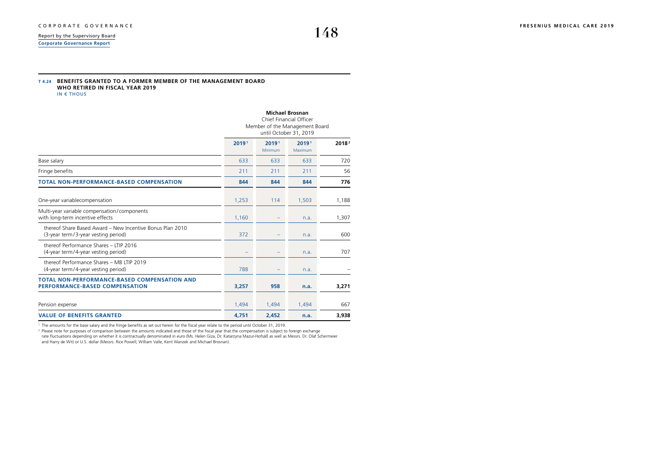**[Corporate Governance Report](#page-1-0)**

### **T 4.24 BENEFITS GRANTED TO A FORMER MEMBER OF THE MANAGEMENT BOARD WHO RETIRED IN FISCAL YEAR 2019** IN € THOUS

|                                                                                                  | <b>Michael Brosnan</b><br>Chief Financial Officer<br>Member of the Management Board<br>until October 31, 2019 |                  |                  |                   |  |  |  |  |
|--------------------------------------------------------------------------------------------------|---------------------------------------------------------------------------------------------------------------|------------------|------------------|-------------------|--|--|--|--|
|                                                                                                  | 20191                                                                                                         | 20191<br>Minimum | 20191<br>Maximum | 2018 <sup>2</sup> |  |  |  |  |
| Base salary                                                                                      | 633                                                                                                           | 633              | 633              | 720               |  |  |  |  |
| Fringe benefits                                                                                  | 211                                                                                                           | 211              | 211              | 56                |  |  |  |  |
| <b>TOTAL NON-PERFORMANCE-BASED COMPENSATION</b>                                                  | 844                                                                                                           | 844              | 844              | 776               |  |  |  |  |
| One-year variablecompensation                                                                    | 1,253                                                                                                         | 114              | 1,503            | 1,188             |  |  |  |  |
| Multi-year variable compensation/components<br>with long-term incentive effects                  | 1,160                                                                                                         |                  | n.a.             | 1,307             |  |  |  |  |
| thereof Share Based Award - New Incentive Bonus Plan 2010<br>(3-year term/3-year vesting period) | 372                                                                                                           |                  | n.a.             | 600               |  |  |  |  |
| thereof Performance Shares - LTIP 2016<br>(4-year term/4-year vesting period)                    |                                                                                                               |                  | n.a.             | 707               |  |  |  |  |
| thereof Performance Shares - MB LTIP 2019<br>(4-year term/4-year vesting period)                 | 788                                                                                                           |                  | n.a.             |                   |  |  |  |  |
| <b>TOTAL NON-PERFORMANCE-BASED COMPENSATION AND</b><br><b>PERFORMANCE-BASED COMPENSATION</b>     | 3,257                                                                                                         | 958              | n.a.             | 3,271             |  |  |  |  |
| Pension expense                                                                                  | 1,494                                                                                                         | 1,494            | 1,494            | 667               |  |  |  |  |
| <b>VALUE OF BENEFITS GRANTED</b>                                                                 | 4,751                                                                                                         | 2.452            | n.a.             | 3,938             |  |  |  |  |

1 The amounts for the base salary and the fringe benefits as set out herein for the fiscal year relate to the period until October 31, 2019.

<sup>2</sup> Please note for purposes of comparison between the amounts indicated and those of the fiscal year that the compensation is subject to foreign exchange<br>rate fluctuations depending on whether it is contractually denomina and Harry de Wit) or U.S. dollar (Messrs. Rice Powell, William Valle, Kent Wanzek and Michael Brosnan).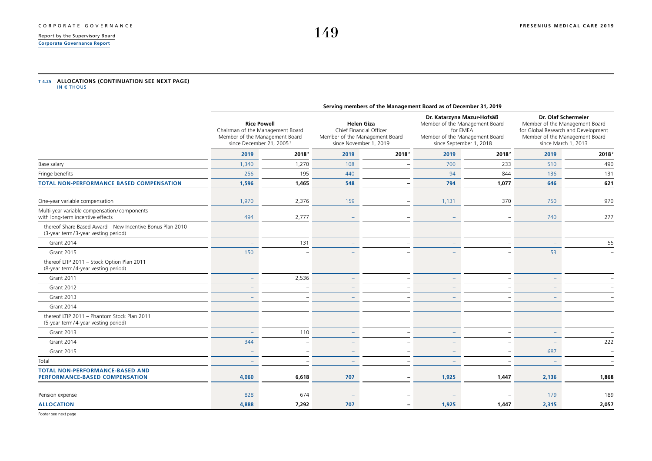### <span id="page-32-0"></span>[CORPORATE GOVERNANCE](#page--1-0) **[FRESENIUS MEDICAL CARE 2019](#page--1-0)**<br>Report by the Supervisory Board **FRESENIUS** MEDICAL CARE 2019 [Report by the Supervisory Board](#page--1-0)

**[Corporate Governance Report](#page-1-0)**

## **T 4.25 ALLOCATIONS (CONTINUATION SEE NEXT PAGE)**  IN € THOUS

|                                                                                                  | Serving members of the Management Board as of December 31, 2019                                                                  |                   |                                                                                                          |                          |                                                                                                                                       |                   |                                                                                                                                                       |       |  |  |  |
|--------------------------------------------------------------------------------------------------|----------------------------------------------------------------------------------------------------------------------------------|-------------------|----------------------------------------------------------------------------------------------------------|--------------------------|---------------------------------------------------------------------------------------------------------------------------------------|-------------------|-------------------------------------------------------------------------------------------------------------------------------------------------------|-------|--|--|--|
|                                                                                                  | <b>Rice Powell</b><br>Chairman of the Management Board<br>Member of the Management Board<br>since December 21, 2005 <sup>1</sup> |                   | <b>Helen Giza</b><br>Chief Financial Officer<br>Member of the Management Board<br>since November 1, 2019 |                          | Dr. Katarzyna Mazur-Hofsäß<br>Member of the Management Board<br>for EMEA<br>Member of the Management Board<br>since September 1, 2018 |                   | Dr. Olaf Schermeier<br>Member of the Management Board<br>for Global Research and Development<br>Member of the Management Board<br>since March 1, 2013 |       |  |  |  |
|                                                                                                  | 2019                                                                                                                             | 2018 <sup>2</sup> | 2019                                                                                                     | 2018 <sup>2</sup>        | 2019                                                                                                                                  | 2018 <sup>2</sup> | 2019                                                                                                                                                  | 2018  |  |  |  |
| Base salary                                                                                      | 1,340                                                                                                                            | 1,270             | 108                                                                                                      |                          | 700                                                                                                                                   | 233               | 510                                                                                                                                                   | 490   |  |  |  |
| Fringe benefits                                                                                  | 256                                                                                                                              | 195               | 440                                                                                                      |                          | 94                                                                                                                                    | 844               | 136                                                                                                                                                   | 131   |  |  |  |
| <b>TOTAL NON-PERFORMANCE BASED COMPENSATION</b>                                                  | 1,596                                                                                                                            | 1,465             | 548                                                                                                      | $\qquad \qquad -$        | 794                                                                                                                                   | 1,077             | 646                                                                                                                                                   | 621   |  |  |  |
| One-year variable compensation                                                                   | 1,970                                                                                                                            | 2,376             | 159                                                                                                      |                          | 1,131                                                                                                                                 | 370               | 750                                                                                                                                                   | 970   |  |  |  |
| Multi-year variable compensation/components<br>with long-term incentive effects                  | 494                                                                                                                              | 2,777             |                                                                                                          |                          |                                                                                                                                       |                   | 740                                                                                                                                                   | 277   |  |  |  |
| thereof Share Based Award - New Incentive Bonus Plan 2010<br>(3-year term/3-year vesting period) |                                                                                                                                  |                   |                                                                                                          |                          |                                                                                                                                       |                   |                                                                                                                                                       |       |  |  |  |
| Grant 2014                                                                                       |                                                                                                                                  | 131               |                                                                                                          |                          |                                                                                                                                       |                   |                                                                                                                                                       | 55    |  |  |  |
| <b>Grant 2015</b>                                                                                | 150                                                                                                                              |                   |                                                                                                          |                          |                                                                                                                                       |                   | 53                                                                                                                                                    |       |  |  |  |
| thereof LTIP 2011 - Stock Option Plan 2011<br>(8-year term/4-year vesting period)                |                                                                                                                                  |                   |                                                                                                          |                          |                                                                                                                                       |                   |                                                                                                                                                       |       |  |  |  |
| <b>Grant 2011</b>                                                                                |                                                                                                                                  | 2,536             |                                                                                                          |                          | $\equiv$                                                                                                                              |                   |                                                                                                                                                       |       |  |  |  |
| Grant 2012                                                                                       |                                                                                                                                  |                   |                                                                                                          |                          |                                                                                                                                       |                   |                                                                                                                                                       |       |  |  |  |
| Grant 2013                                                                                       |                                                                                                                                  |                   |                                                                                                          |                          |                                                                                                                                       |                   |                                                                                                                                                       |       |  |  |  |
| <b>Grant 2014</b>                                                                                |                                                                                                                                  |                   |                                                                                                          |                          |                                                                                                                                       |                   |                                                                                                                                                       |       |  |  |  |
| thereof LTIP 2011 - Phantom Stock Plan 2011<br>(5-year term/4-year vesting period)               |                                                                                                                                  |                   |                                                                                                          |                          |                                                                                                                                       |                   |                                                                                                                                                       |       |  |  |  |
| Grant 2013                                                                                       |                                                                                                                                  | 110               |                                                                                                          |                          |                                                                                                                                       |                   |                                                                                                                                                       |       |  |  |  |
| Grant 2014                                                                                       | 344                                                                                                                              |                   |                                                                                                          |                          |                                                                                                                                       |                   |                                                                                                                                                       | 222   |  |  |  |
| <b>Grant 2015</b>                                                                                |                                                                                                                                  |                   |                                                                                                          |                          |                                                                                                                                       |                   | 687                                                                                                                                                   |       |  |  |  |
| Total                                                                                            |                                                                                                                                  |                   |                                                                                                          |                          |                                                                                                                                       |                   |                                                                                                                                                       |       |  |  |  |
| <b>TOTAL NON-PERFORMANCE-BASED AND</b><br><b>PERFORMANCE-BASED COMPENSATION</b>                  | 4,060                                                                                                                            | 6,618             | 707                                                                                                      |                          | 1,925                                                                                                                                 | 1,447             | 2,136                                                                                                                                                 | 1,868 |  |  |  |
| Pension expense                                                                                  | 828                                                                                                                              | 674               |                                                                                                          |                          |                                                                                                                                       |                   | 179                                                                                                                                                   | 189   |  |  |  |
| <b>ALLOCATION</b>                                                                                | 4,888                                                                                                                            | 7,292             | 707                                                                                                      | $\overline{\phantom{0}}$ | 1,925                                                                                                                                 | 1,447             | 2,315                                                                                                                                                 | 2,057 |  |  |  |

Footer see next page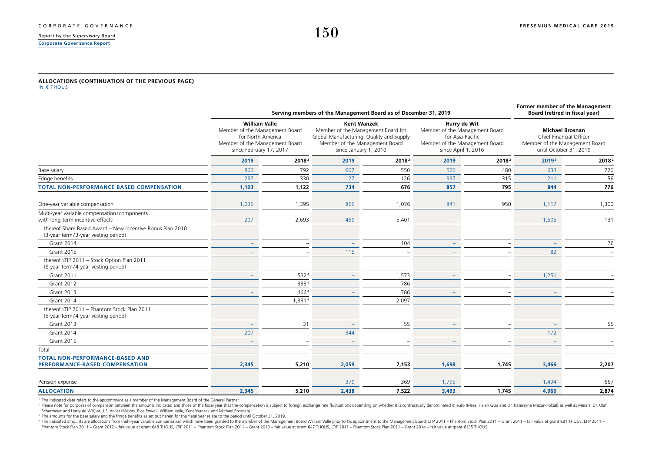### **[Report by the Supervisory Board](#page--1-0) [Corporate Governance Report](#page-1-0)**

#### **ALLOCATIONS (CONTINUATION OF THE PREVIOUS PAGE)** IN € THOUS

|                                                                                                  |                                                                                                                                          |                   | Serving members of the Management Board as of December 31, 2019                                                                                                 |                   |                                                                                                                             |                   | Former member of the Management<br>Board (retired in fiscal year)                                             |                   |
|--------------------------------------------------------------------------------------------------|------------------------------------------------------------------------------------------------------------------------------------------|-------------------|-----------------------------------------------------------------------------------------------------------------------------------------------------------------|-------------------|-----------------------------------------------------------------------------------------------------------------------------|-------------------|---------------------------------------------------------------------------------------------------------------|-------------------|
|                                                                                                  | <b>William Valle</b><br>Member of the Management Board<br>for North America<br>Member of the Management Board<br>since February 17, 2017 |                   | <b>Kent Wanzek</b><br>Member of the Management Board for<br>Global Manufacturing, Quality and Supply<br>Member of the Management Board<br>since January 1, 2010 |                   | Harry de Wit<br>Member of the Management Board<br>for Asia-Pacific<br>Member of the Management Board<br>since April 1, 2016 |                   | <b>Michael Brosnan</b><br>Chief Financial Officer<br>Member of the Management Board<br>until October 31, 2019 |                   |
|                                                                                                  | 2019                                                                                                                                     | 2018 <sup>2</sup> | 2019                                                                                                                                                            | 2018 <sup>2</sup> | 2019                                                                                                                        | 2018 <sup>2</sup> | 20193                                                                                                         | 2018 <sup>2</sup> |
| Base salary                                                                                      | 866                                                                                                                                      | 792               | 607                                                                                                                                                             | 550               | 520                                                                                                                         | 480               | 633                                                                                                           | 720               |
| Fringe benefits                                                                                  | 237                                                                                                                                      | 330               | 127                                                                                                                                                             | 126               | 337                                                                                                                         | 315               | 211                                                                                                           | 56                |
| <b>TOTAL NON-PERFORMANCE BASED COMPENSATION</b>                                                  | 1,103                                                                                                                                    | 1,122             | 734                                                                                                                                                             | 676               | 857                                                                                                                         | 795               | 844                                                                                                           | 776               |
| One-year variable compensation                                                                   | 1,035                                                                                                                                    | 1,395             | 866                                                                                                                                                             | 1,076             | 841                                                                                                                         | 950               | 1,117                                                                                                         | 1,300             |
| Multi-year variable compensation/components<br>with long-term incentive effects                  | 207                                                                                                                                      | 2,693             | 459                                                                                                                                                             | 5,401             |                                                                                                                             |                   | 1,505                                                                                                         | 131               |
| thereof Share Based Award - New Incentive Bonus Plan 2010<br>(3-year term/3-year vesting period) |                                                                                                                                          |                   |                                                                                                                                                                 |                   |                                                                                                                             |                   |                                                                                                               |                   |
| Grant 2014                                                                                       |                                                                                                                                          |                   |                                                                                                                                                                 | 104               |                                                                                                                             |                   |                                                                                                               | 76                |
| <b>Grant 2015</b>                                                                                |                                                                                                                                          |                   | 115                                                                                                                                                             |                   |                                                                                                                             |                   | 82                                                                                                            |                   |
| thereof LTIP 2011 - Stock Option Plan 2011<br>(8-year term/4-year vesting period)                |                                                                                                                                          |                   |                                                                                                                                                                 |                   |                                                                                                                             |                   |                                                                                                               |                   |
| <b>Grant 2011</b>                                                                                |                                                                                                                                          | 5324              | $\overline{\phantom{a}}$                                                                                                                                        | 1,573             | $\overline{\phantom{a}}$                                                                                                    |                   | 1,251                                                                                                         |                   |
| <b>Grant 2012</b>                                                                                |                                                                                                                                          | 3334              | $\sim$                                                                                                                                                          | 786               | $\overline{\phantom{a}}$                                                                                                    |                   |                                                                                                               |                   |
| <b>Grant 2013</b>                                                                                |                                                                                                                                          | 4664              |                                                                                                                                                                 | 786               |                                                                                                                             |                   |                                                                                                               |                   |
| Grant 2014                                                                                       |                                                                                                                                          | 1.3314            |                                                                                                                                                                 | 2.097             |                                                                                                                             |                   |                                                                                                               |                   |
| thereof LTIP 2011 - Phantom Stock Plan 2011<br>(5-year term/4-year vesting period)               |                                                                                                                                          |                   |                                                                                                                                                                 |                   |                                                                                                                             |                   |                                                                                                               |                   |
| <b>Grant 2013</b>                                                                                |                                                                                                                                          | 31                |                                                                                                                                                                 | 55                |                                                                                                                             |                   |                                                                                                               | 55                |
| Grant 2014                                                                                       | 207                                                                                                                                      |                   | 344                                                                                                                                                             |                   |                                                                                                                             |                   | 172                                                                                                           |                   |
| <b>Grant 2015</b>                                                                                |                                                                                                                                          |                   |                                                                                                                                                                 |                   |                                                                                                                             |                   |                                                                                                               |                   |
| Total                                                                                            |                                                                                                                                          |                   |                                                                                                                                                                 |                   |                                                                                                                             |                   |                                                                                                               |                   |
| <b>TOTAL NON-PERFORMANCE-BASED AND</b><br>PERFORMANCE-BASED COMPENSATION                         | 2,345                                                                                                                                    | 5,210             | 2,059                                                                                                                                                           | 7,153             | 1,698                                                                                                                       | 1,745             | 3,466                                                                                                         | 2,207             |
| Pension expense                                                                                  |                                                                                                                                          |                   | 379                                                                                                                                                             | 369               | 1,795                                                                                                                       |                   | 1,494                                                                                                         | 667               |
| <b>ALLOCATION</b>                                                                                | 2,345                                                                                                                                    | 5,210             | 2,438                                                                                                                                                           | 7,522             | 3,493                                                                                                                       | 1,745             | 4,960                                                                                                         | 2,874             |

1 The indicated date refers to the appointment as a member of the Management Board of the General Partner.

<sup>2</sup> Please note for purposes of comparison between the amounts indicated and those of the fiscal year that the compensation is subject to foreign exchange rate fluctuations depending on whether it is contractually denomina Schermeier and Harry de Wit) or U.S. dollar (Messrs. Rice Powell, William Valle, Kent Wanzek and Michael Brosnan).

<sup>3</sup> The amounts for the base salary and the fringe benefits as set out herein for the fiscal year relate to the period until October 31, 2019.

4 The indicated amounts are allocations from multi-year variable compensation which have been granted to the member of the Management Board William Valle prior to his appointment to the Management Board: LTIP 2011 - Phant Phantom Stock Plan 2011 - Grant 2012 - fair value at grant €48 THOUS. LTIP 2011 - Phantom Stock Plan 2011 - Grant 2013 - fair value at grant €47 THOUS. LTIP 2011 - Phantom Stock Plan 2014 - Grant 2014 - Grant 2014 - Grant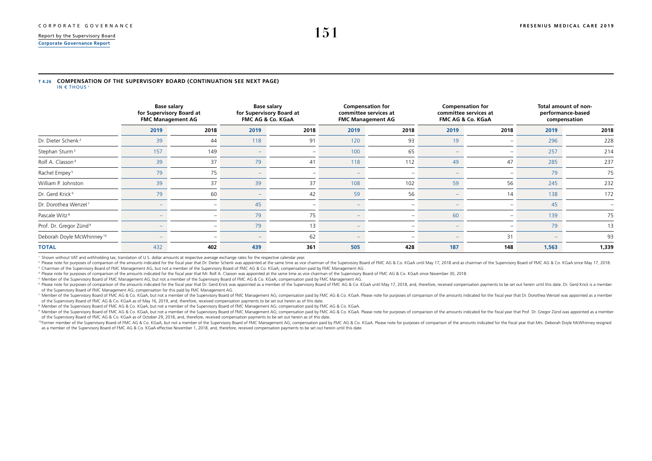## <span id="page-34-0"></span>[Report by the Supervisory Board](#page--1-0) **151 [Corporate Governance Report](#page-1-0)**

### **T 4.26 COMPENSATION OF THE SUPERVISORY BOARD (CONTINUATION SEE NEXT PAGE)** IN  $\in$  THOUS 1

|                                       | <b>Base salary</b><br>for Supervisory Board at<br><b>FMC Management AG</b> |      | <b>Base salary</b><br>for Supervisory Board at<br>FMC AG & Co. KGaA |                          |                          | <b>Compensation for</b><br>committee services at<br><b>FMC Management AG</b> |                          | <b>Compensation for</b><br>committee services at<br>FMC AG & Co. KGaA | Total amount of non-<br>performance-based<br>compensation |       |
|---------------------------------------|----------------------------------------------------------------------------|------|---------------------------------------------------------------------|--------------------------|--------------------------|------------------------------------------------------------------------------|--------------------------|-----------------------------------------------------------------------|-----------------------------------------------------------|-------|
|                                       | 2019                                                                       | 2018 | 2019                                                                | 2018                     | 2019                     | 2018                                                                         | 2019                     | 2018                                                                  | 2019                                                      | 2018  |
| Dr. Dieter Schenk <sup>2</sup>        | 39                                                                         | 44   | 118                                                                 | 91                       | 120                      | 93                                                                           | 19                       |                                                                       | 296                                                       | 228   |
| Stephan Sturm <sup>3</sup>            | 157                                                                        | 149  |                                                                     | $\overline{\phantom{a}}$ | 100                      | 65                                                                           |                          | -                                                                     | 257                                                       | 214   |
| Rolf A. Classon <sup>4</sup>          | 39                                                                         | 37   | 79                                                                  | 41                       | 118                      | 112                                                                          | 49                       | 47                                                                    | 285                                                       | 237   |
| Rachel Empey <sup>5</sup>             | 79                                                                         | 75   | <b>1999</b>                                                         |                          | $\overline{\phantom{a}}$ | -                                                                            | $\overline{\phantom{a}}$ |                                                                       | 79                                                        | 75    |
| William P. Johnston                   | 39                                                                         | 37   | 39                                                                  | 37                       | 108                      | 102                                                                          | 59                       | 56                                                                    | 245                                                       | 232   |
| Dr. Gerd Krick <sup>6</sup>           | 79                                                                         | 60   | <b>1999</b>                                                         | 42                       | 59                       | 56                                                                           | $\overline{\phantom{a}}$ | 14                                                                    | 138                                                       | 172   |
| Dr. Dorothea Wenzel <sup>7</sup>      |                                                                            | ۰    | 45                                                                  |                          | -                        | -                                                                            |                          |                                                                       | 45                                                        |       |
| Pascale Witz <sup>8</sup>             |                                                                            |      | 79                                                                  | 75                       | -                        | -                                                                            | 60                       |                                                                       | 139                                                       | 75    |
| Prof. Dr. Gregor Zünd <sup>9</sup>    |                                                                            |      | 79                                                                  | 13                       |                          |                                                                              |                          |                                                                       | 79                                                        | 13    |
| Deborah Doyle McWhinney <sup>10</sup> |                                                                            | ۰    | $\overline{\phantom{0}}$                                            | 62                       | $\overline{\phantom{0}}$ | -                                                                            |                          | 31                                                                    |                                                           | 93    |
| <b>TOTAL</b>                          | 432                                                                        | 402  | 439                                                                 | 361                      | 505                      | 428                                                                          | 187                      | 148                                                                   | 1,563                                                     | 1,339 |

<sup>1</sup> Shown without VAT and withholding tax; translation of U.S. dollar amounts at respective average exchange rates for the respective calendar year.

<sup>2</sup> Please note for purposes of comparison of the amounts indicated for the fiscal year that Dr. Dieter Schenk was appointed at the same time as vice chairman of the Supervisory Board of FMC AG & Co. KGaA until May 17, 201 <sup>3</sup> Chairman of the Supervisory Board of FMC Management AG, but not a member of the Supervisory Board of FMC AG & Co. KGaA; compensation paid by FMC Management AG.

<sup>4</sup> Please note for purposes of comparison of the amounts indicated for the fiscal year that Mr. Rolf A. Classon was appointed at the same time as vice chairman of the Supervisory Board of FMC AG & Co. KGaA since November

<sup>5</sup> Member of the Supervisory Board of FMC Management AG, but not a member of the Supervisory Board of FMC AG & Co. KGaA; compensation paid by FMC Management AG.

<sup>6</sup> Please note for purposes of comparison of the amounts indicated for the fiscal year that Dr. Gerd Krick was appointed as a member of the Supervisory Board of FMC AG & Co. KGaA until May 17, 2018, and, therefore, receiv of the Supervisory Board of FMC Management AG; compensation for this paid by FMC Management AG.

7 Member of the Supervisory Board of FMC AG & Co. KGaA, but not a member of the Supervisory Board of FMC Management AG; compensation paid by FMC AG & Co. KGaA. Please note for purposes of comparison of the amounts indicate of the Supervisory Board of FMC AG & Co. KGaA as of May 16, 2019, and, therefore, received compensation payments to be set out herein as of this date.

<sup>8</sup> Member of the Supervisory Board of FMC AG & Co. KGaA, but not a member of the Supervisory Board of FMC Management AG; compensation paid by FMC AG & Co. KGaA.

<sup>9</sup> Member of the Supervisory Board of FMC AG & Co. KGaA, but not a member of the Supervisory Board of FMC Management AG; compensation paid by FMC AG & Co. KGaA. Please note for purposes of comparison of the amounts indica of the Supervisory Board of FMC AG & Co. KGaA as of October 29, 2018, and, therefore, received compensation payments to be set out herein as of this date.

<sup>10</sup> Former member of the Supervisory Board of FMC AG & Co. KGaA, but not a member of the Supervisory Board of FMC Management AG; compensation paid by FMC AG & Co. KGaA. Please note for purposes of comparison of the amount as a member of the Supervisory Board of FMC AG & Co. KGaA effective November 1, 2018, and, therefore, received compensation payments to be set out herein until this date.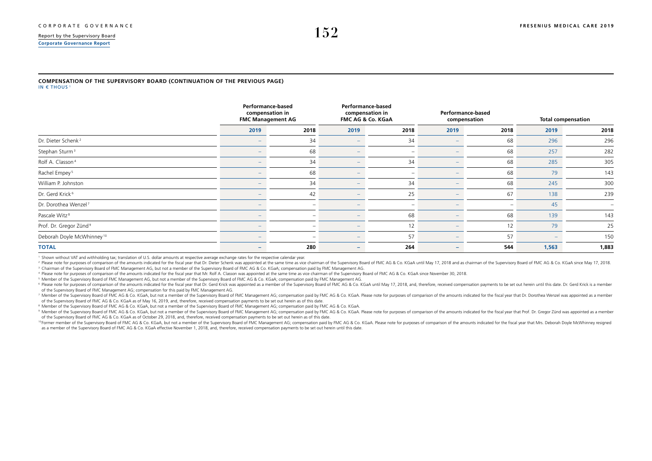## [Report by the Supervisory Board](#page--1-0)  $152$ **[Corporate Governance Report](#page-1-0)**

#### **COMPENSATION OF THE SUPERVISORY BOARD (CONTINUATION OF THE PREVIOUS PAGE)** IN  $\in$  THOUS<sup>1</sup>

|                                       | Performance-based<br>compensation in<br><b>FMC Management AG</b> |                          |                          | <b>Performance-based</b><br>compensation in<br>FMC AG & Co. KGaA |                          | Performance-based<br>compensation | <b>Total compensation</b> |       |  |
|---------------------------------------|------------------------------------------------------------------|--------------------------|--------------------------|------------------------------------------------------------------|--------------------------|-----------------------------------|---------------------------|-------|--|
|                                       | 2019                                                             | 2018                     | 2019                     | 2018                                                             | 2019                     | 2018                              | 2019                      | 2018  |  |
| Dr. Dieter Schenk <sup>2</sup>        |                                                                  | 34                       |                          | 34                                                               | $\overline{\phantom{a}}$ | 68                                | 296                       | 296   |  |
| Stephan Sturm <sup>3</sup>            |                                                                  | 68                       |                          | $\overline{\phantom{a}}$                                         |                          | 68                                | 257                       | 282   |  |
| Rolf A. Classon <sup>4</sup>          |                                                                  | 34                       | $\overline{\phantom{0}}$ | 34                                                               |                          | 68                                | 285                       | 305   |  |
| Rachel Empey <sup>5</sup>             |                                                                  | 68                       | $\overline{\phantom{a}}$ | $\overline{\phantom{a}}$                                         | $-$                      | 68                                | 79                        | 143   |  |
| William P. Johnston                   |                                                                  | 34                       |                          | 34                                                               |                          | 68                                | 245                       | 300   |  |
| Dr. Gerd Krick <sup>6</sup>           |                                                                  | 42                       |                          | 25                                                               |                          | 67                                | 138                       | 239   |  |
| Dr. Dorothea Wenzel <sup>7</sup>      |                                                                  |                          |                          | $\overline{\phantom{a}}$                                         |                          | -                                 | 45                        | -     |  |
| Pascale Witz <sup>8</sup>             |                                                                  | $\overline{\phantom{a}}$ | $\overline{\phantom{a}}$ | 68                                                               | $-$                      | 68                                | 139                       | 143   |  |
| Prof. Dr. Gregor Zünd <sup>9</sup>    |                                                                  |                          |                          | 12                                                               |                          | 12                                | 79                        | 25    |  |
| Deborah Doyle McWhinney <sup>10</sup> |                                                                  |                          |                          | 57                                                               | $\qquad \qquad$          | 57                                |                           | 150   |  |
| <b>TOTAL</b>                          |                                                                  | 280                      | $-$                      | 264                                                              | $-$                      | 544                               | 1,563                     | 1,883 |  |

1 Shown without VAT and withholding tax; translation of U.S. dollar amounts at respective average exchange rates for the respective calendar year.

<sup>2</sup> Please note for purposes of comparison of the amounts indicated for the fiscal year that Dr. Dieter Schenk was appointed at the same time as vice chairman of the Supervisory Board of FMC AG & Co. KGaA until May 17, 201 3 Chairman of the Supervisory Board of FMC Management AG, but not a member of the Supervisory Board of FMC AG & Co. KGaA; compensation paid by FMC Management AG.

4 Please note for purposes of comparison of the amounts indicated for the fiscal year that Mr. Rolf A. Classon was appointed at the same time as vice chairman of the Supervisory Board of FMC AG & Co. KGaA since November 30

5 Member of the Supervisory Board of FMC Management AG, but not a member of the Supervisory Board of FMC AG & Co. KGaA; compensation paid by FMC Management AG.

<sup>6</sup> Please note for purposes of comparison of the amounts indicated for the fiscal year that Dr. Gerd Krick was appointed as a member of the Supervisory Board of FMC AG & Co. KGaA until May 17, 2018, and, therefore, receiv of the Supervisory Board of FMC Management AG; compensation for this paid by FMC Management AG.

7 Member of the Supervisory Board of FMC AG & Co. KGaA, but not a member of the Supervisory Board of FMC Management AG; compensation paid by FMC AG & Co. KGaA. Please note for purposes of comparison of the amounts indicate of the Supervisory Board of FMC AG & Co. KGaA as of May 16, 2019, and, therefore, received compensation payments to be set out herein as of this date.

 $^{\rm 8}$  Member of the Supervisory Board of FMC AG & Co. KGaA, but not a member of the Supervisory Board of FMC Management AG; compensation paid by FMC AG & Co. KGaA.

<sup>9</sup> Member of the Supervisory Board of FMC AG & Co. KGaA, but not a member of the Supervisory Board of FMC Management AG; compensation paid by FMC AG & Co. KGaA. Please note for purposes of comparison of the amounts indica of the Supervisory Board of FMC AG & Co. KGaA as of October 29, 2018, and, therefore, received compensation payments to be set out herein as of this date.

<sup>10</sup> Former member of the Supervisory Board of FMC AG & Co. KGaA, but not a member of the Supervisory Board of FMC Management AG; compensation paid by FMC AG & Co. KGaA. Please note for purposes of comparison of the amount as a member of the Supervisory Board of FMC AG & Co. KGaA effective November 1, 2018, and, therefore, received compensation payments to be set out herein until this date.